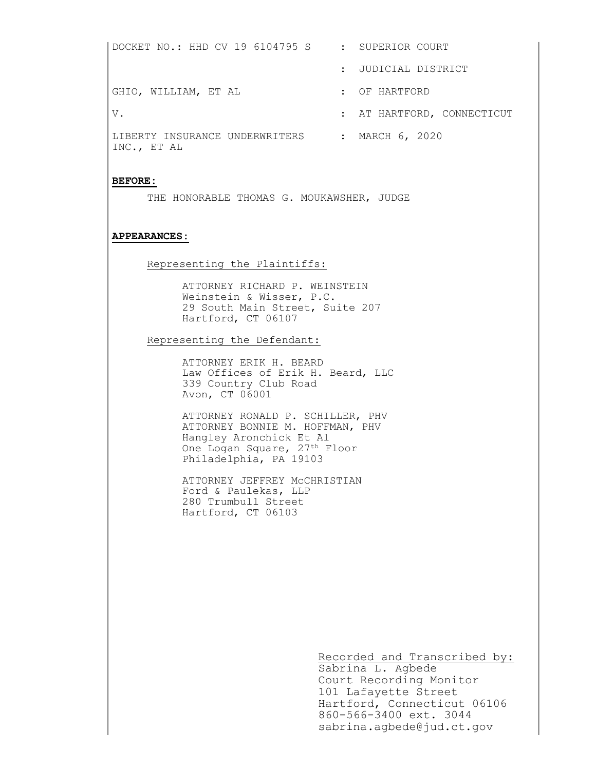DOCKET NO.: HHD CV 19 6104795 S : SUPERIOR COURT : JUDICIAL DISTRICT GHIO, WILLIAM, ET AL THE SERIES OF HARTFORD V. THE SERVICE OF STRAKE SERVICE SERVICES AT HARTFORD, CONNECTICUT LIBERTY INSURANCE UNDERWRITERS : MARCH 6, 2020 INC., ET AL

## BEFORE:

THE HONORABLE THOMAS G. MOUKAWSHER, JUDGE

## APPEARANCES:

## Representing the Plaintiffs:

ATTORNEY RICHARD P. WEINSTEIN Weinstein & Wisser, P.C. 29 South Main Street, Suite 207 Hartford, CT 06107

Representing the Defendant:

ATTORNEY ERIK H. BEARD Law Offices of Erik H. Beard, LLC 339 Country Club Road Avon, CT 06001

ATTORNEY RONALD P. SCHILLER, PHV ATTORNEY BONNIE M. HOFFMAN, PHV Hangley Aronchick Et Al One Logan Square, 27<sup>th</sup> Floor Philadelphia, PA 19103

ATTORNEY JEFFREY McCHRISTIAN Ford & Paulekas, LLP 280 Trumbull Street Hartford, CT 06103

Recorded and Transcribed by:

Sabrina L. Agbede Court Recording Monitor 101 Lafayette Street Hartford, Connecticut 06106 860-566-3400 ext. 3044 sabrina.agbede@jud.ct.gov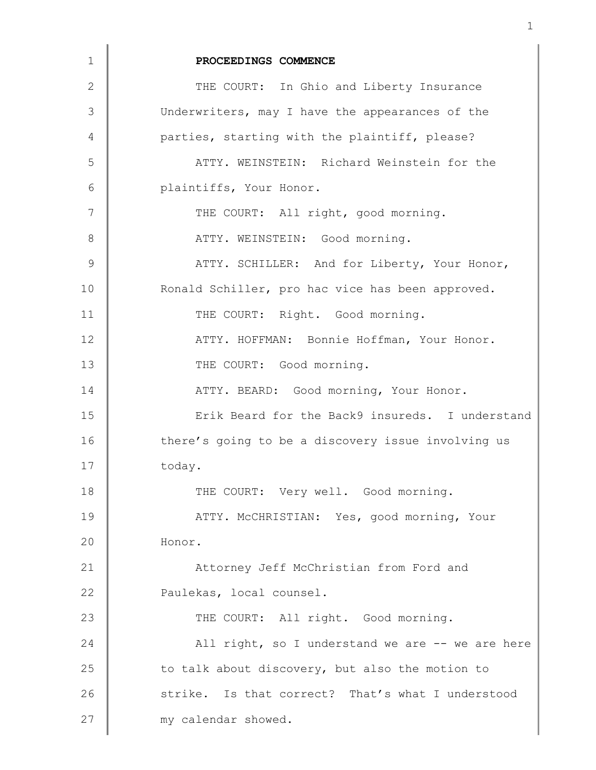| 1              | PROCEEDINGS COMMENCE                               |
|----------------|----------------------------------------------------|
| $\overline{2}$ | THE COURT: In Ghio and Liberty Insurance           |
| 3              | Underwriters, may I have the appearances of the    |
| 4              | parties, starting with the plaintiff, please?      |
| 5              | ATTY. WEINSTEIN: Richard Weinstein for the         |
| 6              | plaintiffs, Your Honor.                            |
| 7              | THE COURT: All right, good morning.                |
| 8              | ATTY. WEINSTEIN: Good morning.                     |
| 9              | ATTY. SCHILLER: And for Liberty, Your Honor,       |
| 10             | Ronald Schiller, pro hac vice has been approved.   |
| 11             | THE COURT: Right. Good morning.                    |
| 12             | ATTY. HOFFMAN: Bonnie Hoffman, Your Honor.         |
| 13             | THE COURT: Good morning.                           |
| 14             | ATTY. BEARD: Good morning, Your Honor.             |
| 15             | Erik Beard for the Back9 insureds. I understand    |
| 16             | there's going to be a discovery issue involving us |
| 17             | today.                                             |
| 18             | THE COURT: Very well. Good morning.                |
| 19             | ATTY. MCCHRISTIAN: Yes, good morning, Your         |
| 20             | Honor.                                             |
| 21             | Attorney Jeff McChristian from Ford and            |
| 22             | Paulekas, local counsel.                           |
| 23             | THE COURT: All right. Good morning.                |
| 24             | All right, so I understand we are -- we are here   |
| 25             | to talk about discovery, but also the motion to    |
| 26             | strike. Is that correct? That's what I understood  |
| 27             | my calendar showed.                                |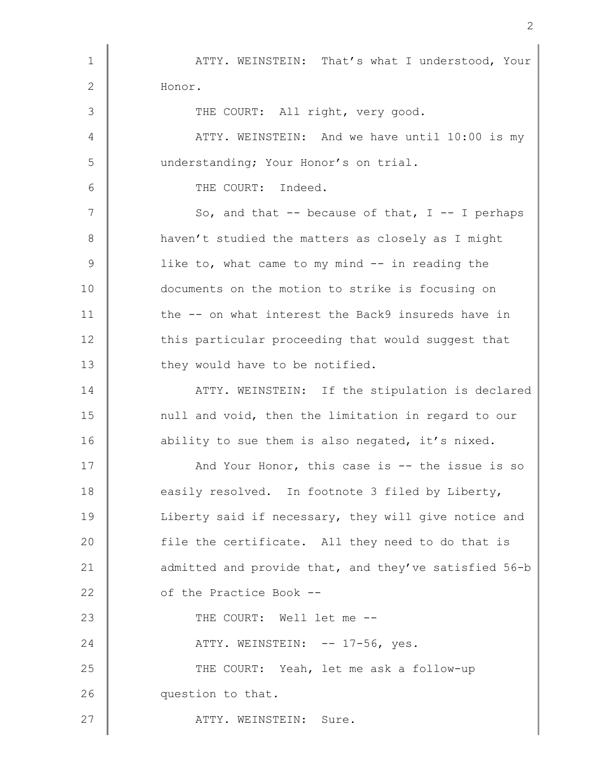1 | ATTY. WEINSTEIN: That's what I understood, Your 2 Honor. 3 THE COURT: All right, very good. 4 ATTY. WEINSTEIN: And we have until 10:00 is my 5 | understanding; Your Honor's on trial. 6 **6** THE COURT: Indeed.  $7 \parallel$  So, and that -- because of that, I -- I perhaps 8 haven't studied the matters as closely as I might 9 U ike to, what came to my mind -- in reading the 10 documents on the motion to strike is focusing on 11 the -- on what interest the Back9 insureds have in 12 this particular proceeding that would suggest that 13 they would have to be notified. 14 **ATTY. WEINSTEIN:** If the stipulation is declared 15 | null and void, then the limitation in regard to our 16 ability to sue them is also negated, it's nixed. 17 And Your Honor, this case is -- the issue is so 18 easily resolved. In footnote 3 filed by Liberty, 19 | Liberty said if necessary, they will give notice and 20 file the certificate. All they need to do that is 21 dadmitted and provide that, and they've satisfied 56-b 22 **Julie 1** of the Practice Book --23 THE COURT: Well let me --24 | ATTY. WEINSTEIN: -- 17-56, yes. 25 THE COURT: Yeah, let me ask a follow-up 26 **question** to that. 27 | ATTY. WEINSTEIN: Sure.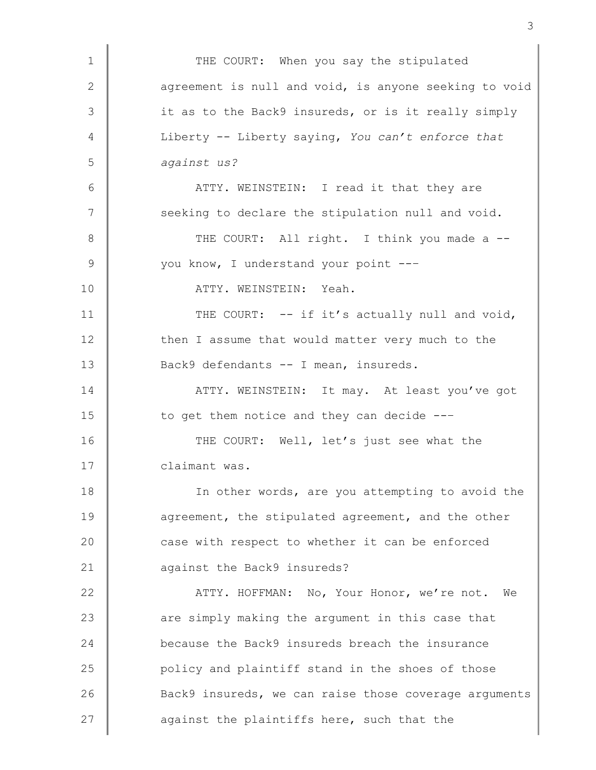1 THE COURT: When you say the stipulated 2 agreement is null and void, is anyone seeking to void 3 it as to the Back9 insureds, or is it really simply 4 Liberty -- Liberty saying, You can't enforce that 5 against us? 6 | ATTY. WEINSTEIN: I read it that they are 7 | seeking to declare the stipulation null and void. 8 | THE COURT: All right. I think you made a --9 Vou know, I understand your point ---10 | ATTY. WEINSTEIN: Yeah. 11 THE COURT: -- if it's actually null and void, 12 then I assume that would matter very much to the 13 Back9 defendants -- I mean, insureds. 14 **ATTY. WEINSTEIN:** It may. At least you've got 15 to get them notice and they can decide ---16 THE COURT: Well, let's just see what the 17 **Claimant was.** 18 | In other words, are you attempting to avoid the 19 **a**greement, the stipulated agreement, and the other 20 **case with respect to whether it can be enforced** 21 against the Back9 insureds? 22 **ATTY. HOFFMAN:** No, Your Honor, we're not. We 23 are simply making the argument in this case that 24 because the Back9 insureds breach the insurance 25 **policy and plaintiff stand in the shoes of those** 26 Back9 insureds, we can raise those coverage arguments 27  $\parallel$  against the plaintiffs here, such that the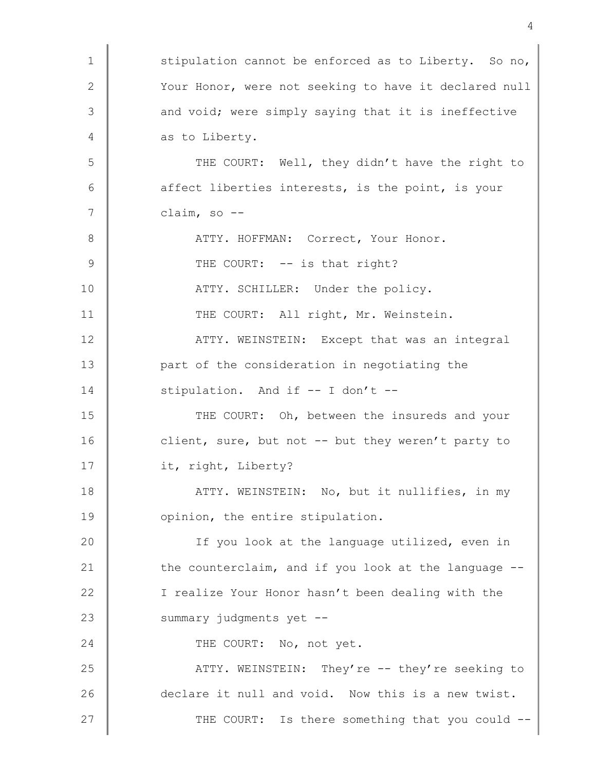1 | stipulation cannot be enforced as to Liberty. So no, 2 Your Honor, were not seeking to have it declared null 3 and void; were simply saying that it is ineffective 4 as to Liberty. 5 THE COURT: Well, they didn't have the right to  $6$  affect liberties interests, is the point, is your  $7 \parallel$  claim, so --8 ATTY. HOFFMAN: Correct, Your Honor. 9 THE COURT: -- is that right? 10 | ATTY. SCHILLER: Under the policy. 11 THE COURT: All right, Mr. Weinstein. 12 **ATTY. WEINSTEIN:** Except that was an integral 13 **part of the consideration in negotiating the** 14 stipulation. And if -- I don't --15 THE COURT: Oh, between the insureds and your 16 client, sure, but not -- but they weren't party to 17 | it, right, Liberty? 18 | ATTY. WEINSTEIN: No, but it nullifies, in my 19 **| catabala opinion**, the entire stipulation. 20 **I** If you look at the language utilized, even in 21 the counterclaim, and if you look at the language --22 | I realize Your Honor hasn't been dealing with the 23 Summary judgments yet --24 THE COURT: No, not yet. 25 ATTY. WEINSTEIN: They're -- they're seeking to 26 declare it null and void. Now this is a new twist. 27 | THE COURT: Is there something that you could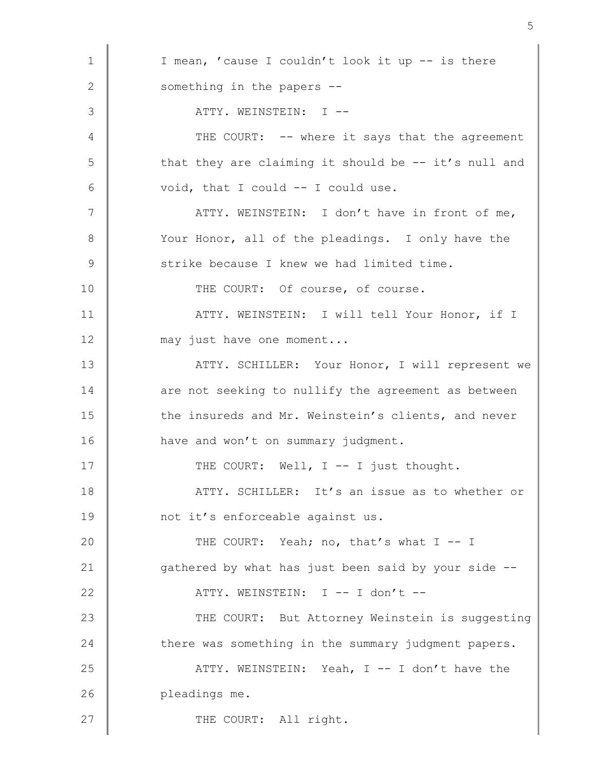1 | I mean, 'cause I couldn't look it up -- is there 2 Something in the papers --3 ATTY. WEINSTEIN: I -- 4 THE COURT: -- where it says that the agreement  $5 \parallel$  that they are claiming it should be -- it's null and  $6 \parallel$  void, that I could  $-$  I could use. 7 | ATTY. WEINSTEIN: I don't have in front of me, 8 Your Honor, all of the pleadings. I only have the 9 Strike because I knew we had limited time. 10 THE COURT: Of course, of course. 11 | ATTY. WEINSTEIN: I will tell Your Honor, if I 12 may just have one moment... 13 | ATTY. SCHILLER: Your Honor, I will represent we 14 are not seeking to nullify the agreement as between 15 the insureds and Mr. Weinstein's clients, and never 16 **have and won't on summary judgment.** 17  $\parallel$  THE COURT: Well, I -- I just thought. 18 **ATTY.** SCHILLER: It's an issue as to whether or 19 | not it's enforceable against us. 20 THE COURT: Yeah; no, that's what I -- I 21  $\parallel$  gathered by what has just been said by your side --22 | ATTY. WEINSTEIN: I -- I don't --23 THE COURT: But Attorney Weinstein is suggesting 24 there was something in the summary judgment papers. 25 ATTY. WEINSTEIN: Yeah, I -- I don't have the 26 **pleadings me.** 27 CHE COURT: All right.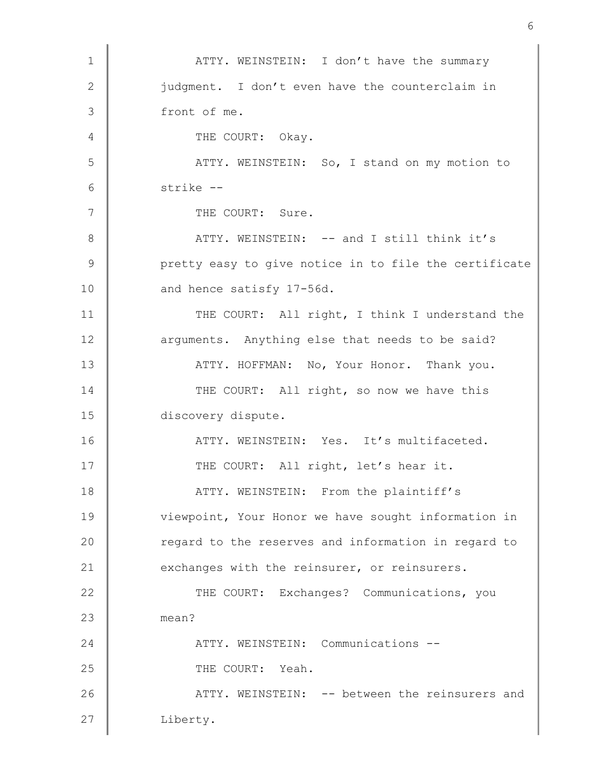1 | ATTY. WEINSTEIN: I don't have the summary 2 iudgment. I don't even have the counterclaim in 3 front of me. 4 THE COURT: Okay. 5 | ATTY. WEINSTEIN: So, I stand on my motion to 6 strike -- 7 | THE COURT: Sure. 8 | ATTY. WEINSTEIN: -- and I still think it's 9 | pretty easy to give notice in to file the certificate 10 and hence satisfy 17-56d. 11 THE COURT: All right, I think I understand the 12 **arguments.** Anything else that needs to be said? 13 **ATTY. HOFFMAN:** No, Your Honor. Thank you. 14 THE COURT: All right, so now we have this 15 discovery dispute. 16 ATTY. WEINSTEIN: Yes. It's multifaceted. 17 | THE COURT: All right, let's hear it. 18 **ATTY.** WEINSTEIN: From the plaintiff's 19 viewpoint, Your Honor we have sought information in 20 **Paramel Exercise** 20 regard to the reserves and information in regard to 21 exchanges with the reinsurer, or reinsurers. 22 THE COURT: Exchanges? Communications, you 23 mean? 24 ATTY. WEINSTEIN: Communications --25 COURT: Yeah. 26 **ATTY. WEINSTEIN:** -- between the reinsurers and 27 | Liberty.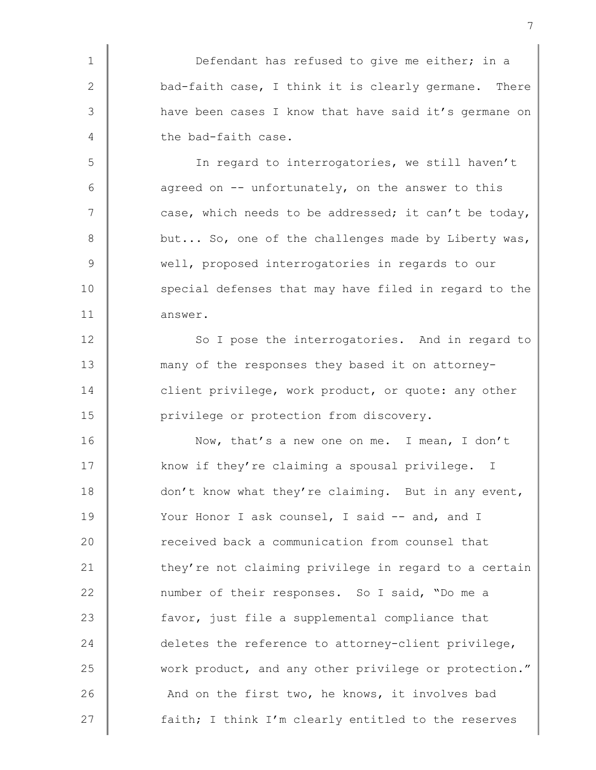1 Defendant has refused to give me either; in a 2  $\parallel$  bad-faith case, I think it is clearly germane. There 3 have been cases I know that have said it's germane on 4 the bad-faith case.

5 In regard to interrogatories, we still haven't  $6 \parallel$  agreed on -- unfortunately, on the answer to this 7 case, which needs to be addressed; it can't be today, 8 but... So, one of the challenges made by Liberty was, 9 Well, proposed interrogatories in regards to our 10 special defenses that may have filed in regard to the 11 answer.

12 So I pose the interrogatories. And in regard to 13 many of the responses they based it on attorney-14 client privilege, work product, or quote: any other 15 **Quare 15 Times 15 Term** discovery.

16 Now, that's a new one on me. I mean, I don't 17 xnow if they're claiming a spousal privilege. I 18 don't know what they're claiming. But in any event, 19 Vour Honor I ask counsel, I said -- and, and I 20 **Parameter 20** received back a communication from counsel that 21 they're not claiming privilege in regard to a certain 22 mumber of their responses. So I said, "Do me a 23 favor, just file a supplemental compliance that 24 deletes the reference to attorney-client privilege, 25 work product, and any other privilege or protection." 26 And on the first two, he knows, it involves bad 27 **faith;** I think I'm clearly entitled to the reserves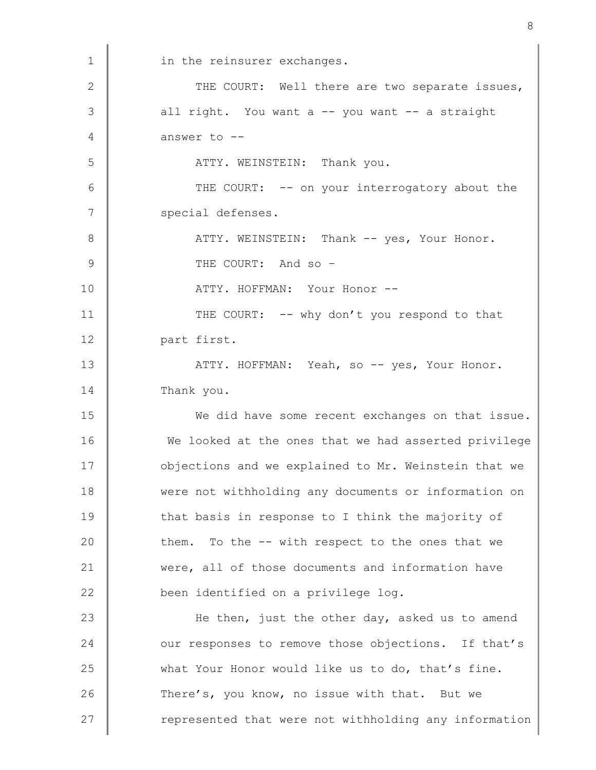1 in the reinsurer exchanges. 2 THE COURT: Well there are two separate issues,  $3 \parallel$  all right. You want a -- you want -- a straight 4  $\parallel$  answer to  $\sim$ 5 | ATTY. WEINSTEIN: Thank you. 6 THE COURT: -- on your interrogatory about the 7 | special defenses. 8 ATTY. WEINSTEIN: Thank -- yes, Your Honor. 9 THE COURT: And so – 10 | ATTY. HOFFMAN: Your Honor --11 THE COURT: -- why don't you respond to that 12 | part first. 13 ATTY. HOFFMAN: Yeah, so -- yes, Your Honor. 14 Thank you. 15 We did have some recent exchanges on that issue. 16 We looked at the ones that we had asserted privilege 17 **Jubier** objections and we explained to Mr. Weinstein that we 18 were not withholding any documents or information on 19 that basis in response to I think the majority of  $20$  them. To the  $-$ - with respect to the ones that we 21 were, all of those documents and information have 22 **been** identified on a privilege log. 23 **He then,** just the other day, asked us to amend 24 vur responses to remove those objections. If that's 25 what Your Honor would like us to do, that's fine. 26 There's, you know, no issue with that. But we 27 | represented that were not withholding any information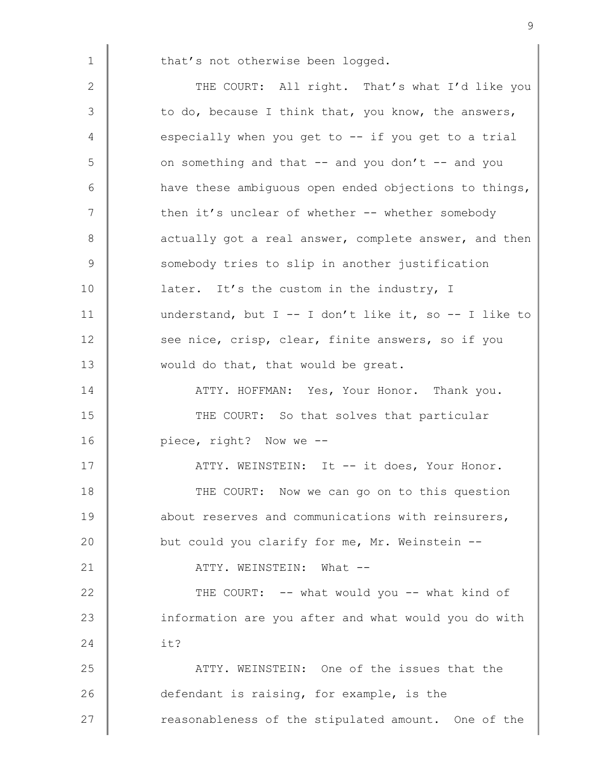1 that's not otherwise been logged.

2 THE COURT: All right. That's what I'd like you  $3 \parallel$  to do, because I think that, you know, the answers, 4 especially when you get to -- if you get to a trial  $5 \parallel$  on something and that -- and you don't -- and you 6 have these ambiguous open ended objections to things, 7 Then it's unclear of whether -- whether somebody 8 actually got a real answer, complete answer, and then 9 Somebody tries to slip in another justification 10 **later.** It's the custom in the industry, I 11 understand, but I -- I don't like it, so -- I like to 12 see nice, crisp, clear, finite answers, so if you 13 would do that, that would be great. 14 **ATTY. HOFFMAN:** Yes, Your Honor. Thank you. 15 THE COURT: So that solves that particular 16 piece, right? Now we --17 ATTY. WEINSTEIN: It -- it does, Your Honor. 18 THE COURT: Now we can go on to this question 19 **about reserves and communications with reinsurers,** 20 but could you clarify for me, Mr. Weinstein --21 | ATTY. WEINSTEIN: What --22 **THE COURT:** -- what would you -- what kind of 23 information are you after and what would you do with  $24$   $\parallel$  it? 25 ATTY. WEINSTEIN: One of the issues that the 26 defendant is raising, for example, is the 27 The reasonableness of the stipulated amount. One of the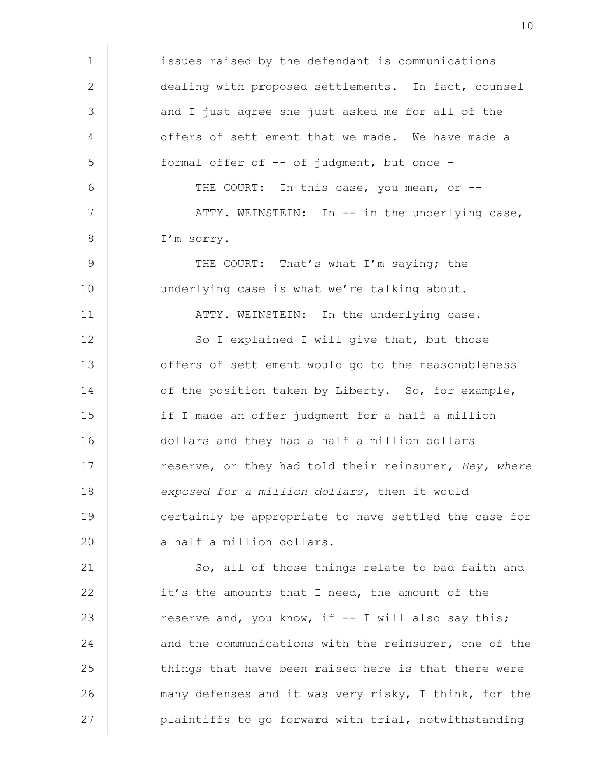1 issues raised by the defendant is communications 2 dealing with proposed settlements. In fact, counsel 3 and I just agree she just asked me for all of the 4 **Julie** offers of settlement that we made. We have made a  $5 \parallel$  formal offer of  $--$  of judgment, but once  $-$ 6 THE COURT: In this case, you mean, or --7 | ATTY. WEINSTEIN: In -- in the underlying case, 8 | I'm sorry. 9 THE COURT: That's what I'm saying; the 10 underlying case is what we're talking about. 11 | ATTY. WEINSTEIN: In the underlying case. 12 So I explained I will give that, but those 13 **find** offers of settlement would go to the reasonableness 14 of the position taken by Liberty. So, for example, 15 if I made an offer judgment for a half a million 16 dollars and they had a half a million dollars 17 The reserve, or they had told their reinsurer, Hey, where 18 exposed for a million dollars, then it would 19 certainly be appropriate to have settled the case for 20  $\parallel$  a half a million dollars. 21 So, all of those things relate to bad faith and 22 it's the amounts that I need, the amount of the 23  $\parallel$  reserve and, you know, if  $-$  I will also say this; 24 and the communications with the reinsurer, one of the  $25$  things that have been raised here is that there were 26 many defenses and it was very risky, I think, for the

27 **plaintiffs to go forward with trial, notwithstanding**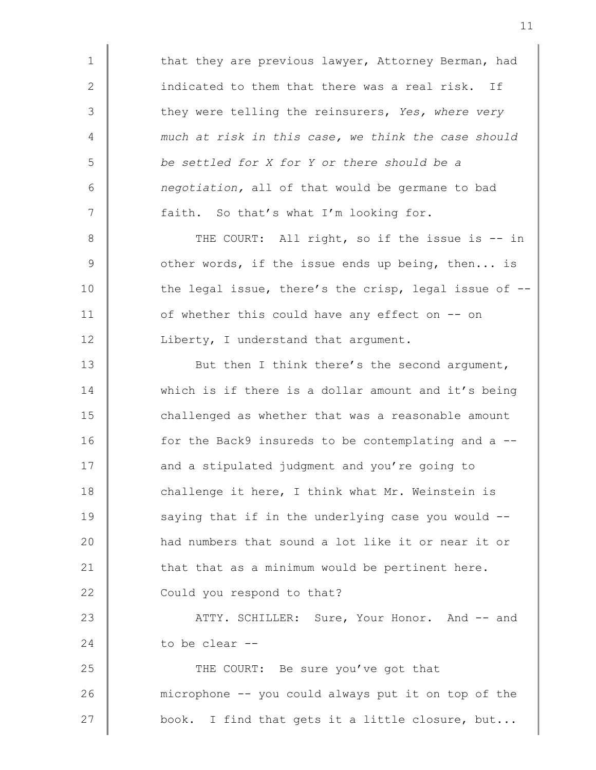1 | that they are previous lawyer, Attorney Berman, had 2 indicated to them that there was a real risk. If 3 they were telling the reinsurers, Yes, where very 4 much at risk in this case, we think the case should 5 be settled for X for Y or there should be a  $6 \parallel$  negotiation, all of that would be germane to bad 7 **faith.** So that's what I'm looking for. 8 THE COURT: All right, so if the issue is -- in  $9 \parallel$  other words, if the issue ends up being, then... is 10  $\parallel$  the legal issue, there's the crisp, legal issue of  $-$ 11 | of whether this could have any effect on -- on 12 | Liberty, I understand that argument. 13 But then I think there's the second argument, 14 Which is if there is a dollar amount and it's being 15 | challenged as whether that was a reasonable amount 16 for the Back9 insureds to be contemplating and a --17 **and a stipulated judgment and you're going to** 18 challenge it here, I think what Mr. Weinstein is 19 Saying that if in the underlying case you would --20 **had numbers that sound a lot like it or near it or** 21  $\parallel$  that that as a minimum would be pertinent here. 22 Could you respond to that? 23 ATTY. SCHILLER: Sure, Your Honor. And -- and 24  $\parallel$  to be clear --

25 THE COURT: Be sure you've got that 26 microphone -- you could always put it on top of the 27  $\parallel$  book. I find that gets it a little closure, but...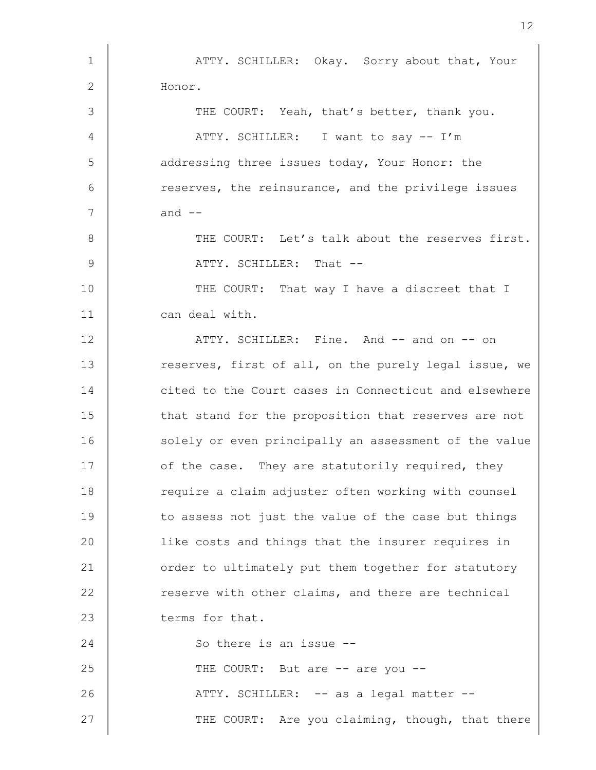1 | ATTY. SCHILLER: Okay. Sorry about that, Your 2 Honor. 3 THE COURT: Yeah, that's better, thank you. 4 | ATTY. SCHILLER: I want to say -- I'm 5 daddressing three issues today, Your Honor: the 6 The reserves, the reinsurance, and the privilege issues  $7 \parallel$  and  $-$ 8 THE COURT: Let's talk about the reserves first. 9 ATTY. SCHILLER: That --10 THE COURT: That way I have a discreet that I 11 can deal with. 12 Notative Mand Truess Rine. And  $-$  and on  $-$  on 13 Teserves, first of all, on the purely legal issue, we 14 **Cited to the Court cases in Connecticut and elsewhere** 15 **that stand for the proposition that reserves are not** 16 solely or even principally an assessment of the value 17 **o**f the case. They are statutorily required, they 18 Tequire a claim adjuster often working with counsel 19 to assess not just the value of the case but things 20 **like costs and things that the insurer requires in** 21 order to ultimately put them together for statutory 22 **Parame Exter** vith other claims, and there are technical 23 terms for that. 24 So there is an issue --25 THE COURT: But are -- are you --26 **ATTY.** SCHILLER: -- as a legal matter --27 | THE COURT: Are you claiming, though, that there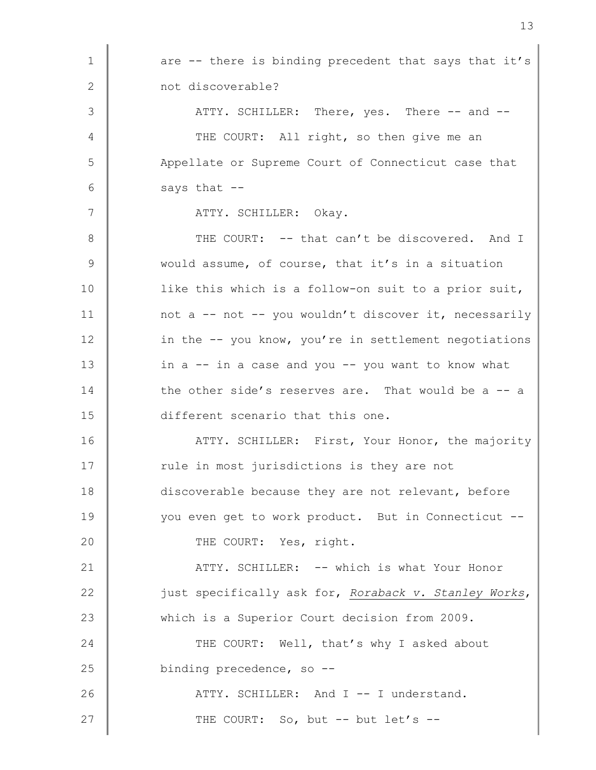| 1            | are -- there is binding precedent that says that it's |
|--------------|-------------------------------------------------------|
| $\mathbf{2}$ | not discoverable?                                     |
| 3            | ATTY. SCHILLER: There, yes. There -- and --           |
| 4            | THE COURT: All right, so then give me an              |
| 5            | Appellate or Supreme Court of Connecticut case that   |
| 6            | says that --                                          |
| 7            | ATTY. SCHILLER: Okay.                                 |
| 8            | THE COURT: -- that can't be discovered. And I         |
| 9            | would assume, of course, that it's in a situation     |
| 10           | like this which is a follow-on suit to a prior suit,  |
| 11           | not a -- not -- you wouldn't discover it, necessarily |
| 12           | in the -- you know, you're in settlement negotiations |
| 13           | in a -- in a case and you -- you want to know what    |
| 14           | the other side's reserves are. That would be a -- a   |
| 15           | different scenario that this one.                     |
| 16           | ATTY. SCHILLER: First, Your Honor, the majority       |
| 17           | rule in most jurisdictions is they are not            |
| 18           | discoverable because they are not relevant, before    |
| 19           | you even get to work product. But in Connecticut --   |
| 20           | THE COURT: Yes, right.                                |
| 21           | ATTY. SCHILLER: -- which is what Your Honor           |
| 22           | just specifically ask for, Roraback v. Stanley Works, |
| 23           | which is a Superior Court decision from 2009.         |
| 24           | THE COURT: Well, that's why I asked about             |
| 25           | binding precedence, so --                             |
| 26           | ATTY. SCHILLER: And I -- I understand.                |
| 27           | THE COURT: So, but -- but let's --                    |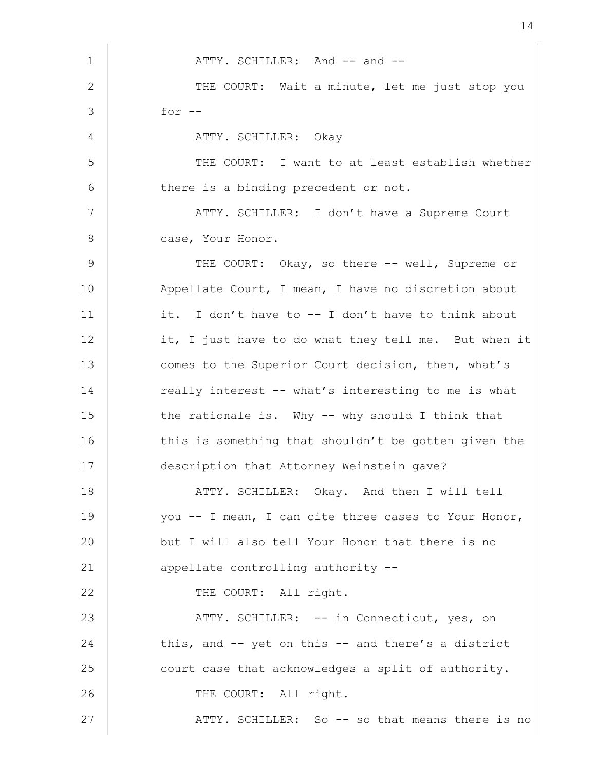1 MITY. SCHILLER: And -- and --2 THE COURT: Wait a minute, let me just stop you  $3 \parallel$  for  $-$ 4 ATTY. SCHILLER: Okay 5 | THE COURT: I want to at least establish whether  $6 \parallel$  there is a binding precedent or not. 7 | ATTY. SCHILLER: I don't have a Supreme Court 8 **Case**, Your Honor. 9 THE COURT: Okay, so there -- well, Supreme or 10 Appellate Court, I mean, I have no discretion about 11  $\parallel$  it. I don't have to -- I don't have to think about 12 it, I just have to do what they tell me. But when it 13 comes to the Superior Court decision, then, what's 14 Teally interest -- what's interesting to me is what  $15$   $\parallel$  the rationale is. Why  $-$  why should I think that 16 this is something that shouldn't be gotten given the 17 description that Attorney Weinstein gave? 18 | ATTY. SCHILLER: Okay. And then I will tell 19 you -- I mean, I can cite three cases to Your Honor, 20 but I will also tell Your Honor that there is no 21 **appellate controlling authority --**22 THE COURT: All right. 23 ATTY. SCHILLER: -- in Connecticut, yes, on 24 this, and  $-$  yet on this  $-$  and there's a district 25 court case that acknowledges a split of authority. 26 | THE COURT: All right. 27 ATTY. SCHILLER: So -- so that means there is no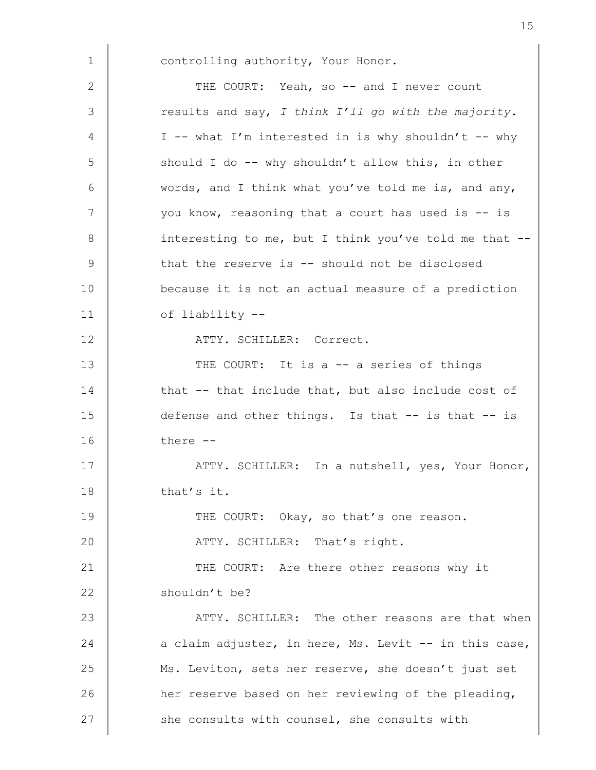1 | controlling authority, Your Honor.

2 THE COURT: Yeah, so -- and I never count  $3$   $\parallel$  results and say, I think I'll go with the majority. 4  $\parallel$  I -- what I'm interested in is why shouldn't -- why  $5$  should I do -- why shouldn't allow this, in other  $6 \parallel$  words, and I think what you've told me is, and any, 7 | vou know, reasoning that a court has used is -- is 8 interesting to me, but I think you've told me that --9 that the reserve is -- should not be disclosed 10 because it is not an actual measure of a prediction 11 | of liability --12 | ATTY. SCHILLER: Correct. 13 THE COURT: It is a -- a series of things 14 that -- that include that, but also include cost of 15 defense and other things. Is that -- is that -- is  $16$   $\parallel$  there  $-$ 17 ATTY. SCHILLER: In a nutshell, yes, Your Honor, 18 that's it. 19 THE COURT: Okay, so that's one reason. 20 | ATTY. SCHILLER: That's right. 21 THE COURT: Are there other reasons why it 22 shouldn't be? 23 ATTY. SCHILLER: The other reasons are that when 24  $\parallel$  a claim adjuster, in here, Ms. Levit -- in this case, 25 Ms. Leviton, sets her reserve, she doesn't just set 26 **her reserve based on her reviewing of the pleading,** 27 she consults with counsel, she consults with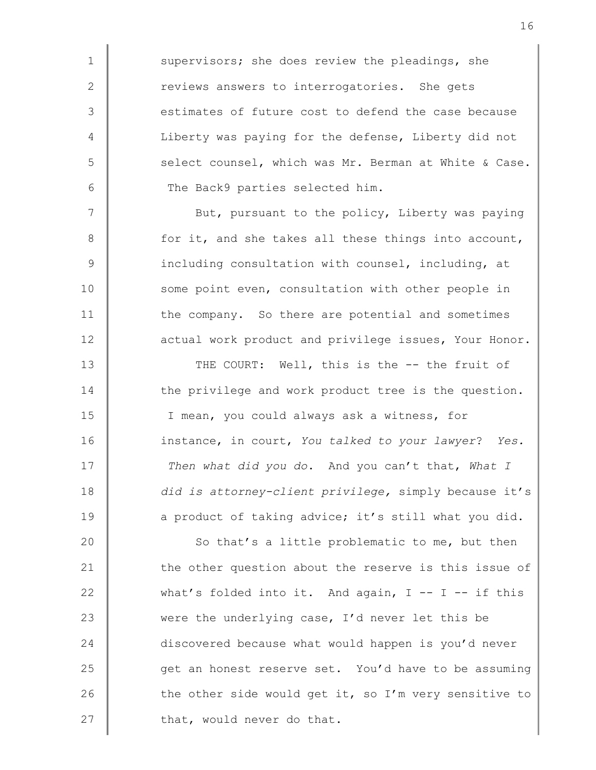1 supervisors; she does review the pleadings, she 2 Teviews answers to interrogatories. She gets 3 estimates of future cost to defend the case because 4 Liberty was paying for the defense, Liberty did not 5 Select counsel, which was Mr. Berman at White & Case. 6 The Back9 parties selected him.

7 | But, pursuant to the policy, Liberty was paying 8 for it, and she takes all these things into account, 9 | including consultation with counsel, including, at 10 some point even, consultation with other people in 11 the company. So there are potential and sometimes 12 **actual work product and privilege issues, Your Honor.** 

13 THE COURT: Well, this is the -- the fruit of 14 the privilege and work product tree is the question. 15 | T mean, you could always ask a witness, for 16 instance, in court, You talked to your lawyer? Yes. 17 Then what did you do. And you can't that, What I 18 did is attorney-client privilege, simply because it's 19 a product of taking advice; it's still what you did.

20 So that's a little problematic to me, but then 21 the other question about the reserve is this issue of 22 what's folded into it. And again,  $I - - I -$  if this 23 were the underlying case, I'd never let this be 24 discovered because what would happen is you'd never 25  $\parallel$  get an honest reserve set. You'd have to be assuming 26 the other side would get it, so I'm very sensitive to 27  $\parallel$  that, would never do that.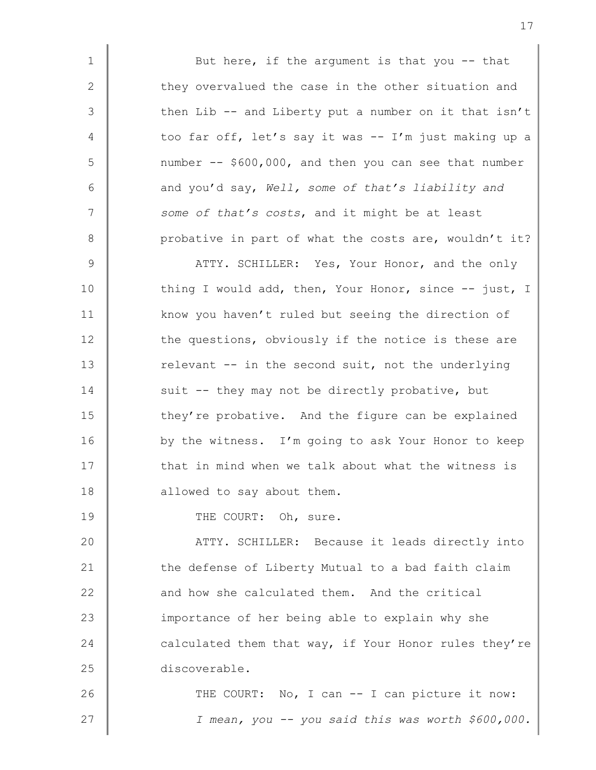1 But here, if the argument is that you -- that 2 they overvalued the case in the other situation and  $3 \parallel$  then Lib -- and Liberty put a number on it that isn't 4 too far off, let's say it was -- I'm just making up a  $5 \parallel$  number -- \$600,000, and then you can see that number 6 and you'd say, Well, some of that's liability and  $7$  | some of that's costs, and it might be at least 8 probative in part of what the costs are, wouldn't it?

9 MITY. SCHILLER: Yes, Your Honor, and the only 10 thing I would add, then, Your Honor, since -- just, I 11 **know** you haven't ruled but seeing the direction of 12 the questions, obviously if the notice is these are 13 Televant -- in the second suit, not the underlying 14 suit -- they may not be directly probative, but 15 they're probative. And the figure can be explained 16 by the witness. I'm going to ask Your Honor to keep  $17$   $\parallel$  that in mind when we talk about what the witness is 18 **allowed** to say about them.

19 THE COURT: Oh, sure.

20 **ATTY.** SCHILLER: Because it leads directly into 21 the defense of Liberty Mutual to a bad faith claim 22 and how she calculated them. And the critical 23 **importance of her being able to explain why she** 24  $\parallel$  calculated them that way, if Your Honor rules they're 25 discoverable.

26 THE COURT: No, I can -- I can picture it now: 27 | Ximean, you -- you said this was worth \$600,000.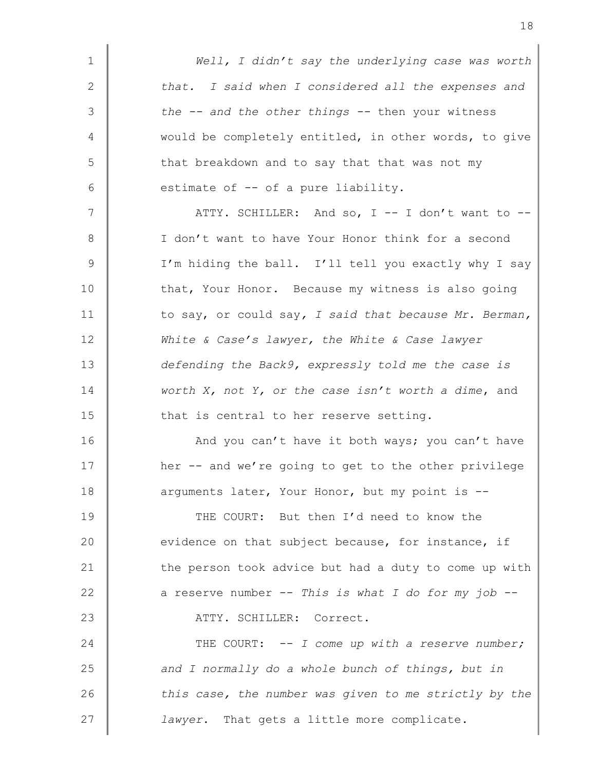| $\mathbf 1$  | Well, I didn't say the underlying case was worth          |
|--------------|-----------------------------------------------------------|
| $\mathbf{2}$ | that. I said when I considered all the expenses and       |
| 3            | the $-$ - and the other things $-$ - then your witness    |
| 4            | would be completely entitled, in other words, to give     |
| 5            | that breakdown and to say that that was not my            |
| 6            | estimate of -- of a pure liability.                       |
| 7            | ATTY. SCHILLER: And so, I -- I don't want to --           |
| 8            | I don't want to have Your Honor think for a second        |
| 9            | I'm hiding the ball. I'll tell you exactly why I say      |
| 10           | that, Your Honor. Because my witness is also going        |
| 11           | to say, or could say, I said that because Mr. Berman,     |
| 12           | White & Case's lawyer, the White & Case lawyer            |
| 13           | defending the Back9, expressly told me the case is        |
| 14           | worth $X$ , not $Y$ , or the case isn't worth a dime, and |
| 15           | that is central to her reserve setting.                   |
| 16           | And you can't have it both ways; you can't have           |
| 17           | her -- and we're going to get to the other privilege      |
| 18           | arguments later, Your Honor, but my point is --           |
| 19           | THE COURT: But then I'd need to know the                  |
| 20           | evidence on that subject because, for instance, if        |
| 21           | the person took advice but had a duty to come up with     |
| 22           | a reserve number -- This is what I do for my job --       |
| 23           | ATTY. SCHILLER: Correct.                                  |
| 24           | THE COURT: -- I come up with a reserve number;            |
| 25           | and I normally do a whole bunch of things, but in         |
| 26           | this case, the number was given to me strictly by the     |
| 27           | lawyer. That gets a little more complicate.               |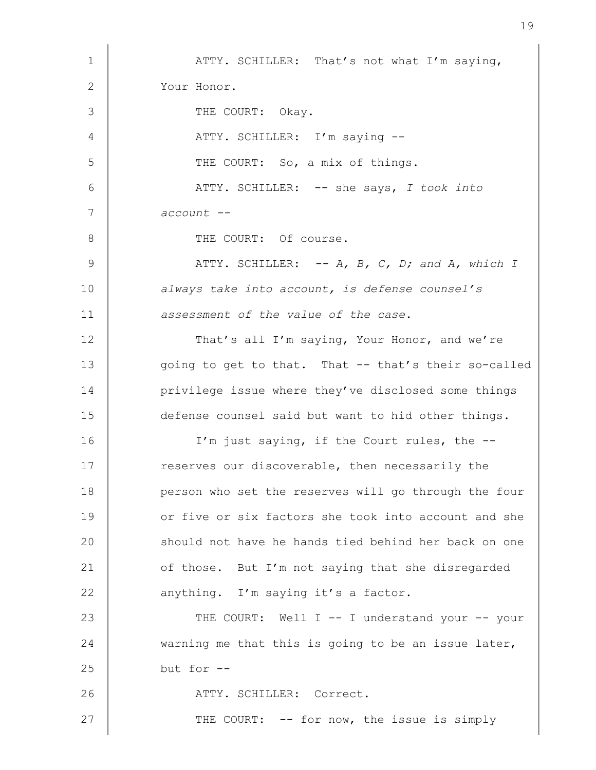1 | ATTY. SCHILLER: That's not what I'm saying, 2 Your Honor. 3 THE COURT: Okay. 4 | ATTY. SCHILLER: I'm saying --5 | THE COURT: So, a mix of things. 6 ATTY. SCHILLER: -- she says, I took into 7 account --8 COURT: Of course. 9  $\parallel$  ATTY. SCHILLER: -- A, B, C, D; and A, which I 10 | always take into account, is defense counsel's 11 **deger-** assessment of the value of the case. 12 That's all I'm saying, Your Honor, and we're 13 going to get to that. That -- that's their so-called 14 **privilege issue where they've disclosed some things** 15 defense counsel said but want to hid other things. 16 I'm just saying, if the Court rules, the --17 The reserves our discoverable, then necessarily the 18 **person who set the reserves will go through the four** 19 or five or six factors she took into account and she 20 should not have he hands tied behind her back on one 21 of those. But I'm not saying that she disregarded 22 anything. I'm saying it's a factor. 23 THE COURT: Well I -- I understand your -- your 24  $\parallel$  warning me that this is going to be an issue later,  $25$  but for  $-$ 26 | ATTY. SCHILLER: Correct. 27 THE COURT: -- for now, the issue is simply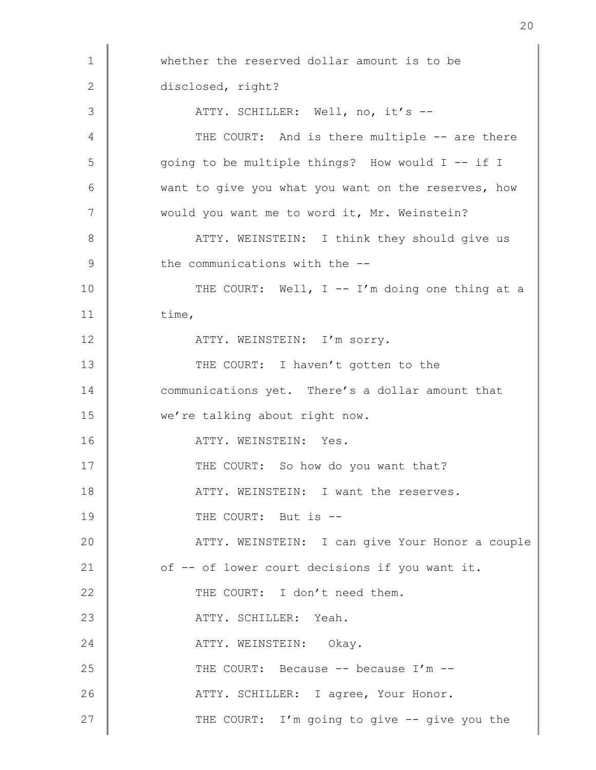1 whether the reserved dollar amount is to be 2 disclosed, right? 3 | ATTY. SCHILLER: Well, no, it's --4 THE COURT: And is there multiple -- are there 5 going to be multiple things? How would I -- if I 6 want to give you what you want on the reserves, how 7 Would you want me to word it, Mr. Weinstein? 8 | ATTY. WEINSTEIN: I think they should give us  $9$  the communications with the  $-$ 10 THE COURT: Well, I -- I'm doing one thing at a  $11$  time, 12 | ATTY. WEINSTEIN: I'm sorry. 13 THE COURT: I haven't gotten to the 14 communications yet. There's a dollar amount that 15 we're talking about right now. 16 ATTY. WEINSTEIN: Yes. 17 | THE COURT: So how do you want that? 18 **ATTY. WEINSTEIN:** I want the reserves. 19 COURT: But is  $-$ 20 ATTY. WEINSTEIN: I can give Your Honor a couple 21 of -- of lower court decisions if you want it. 22  $\parallel$  THE COURT: I don't need them. 23 | ATTY. SCHILLER: Yeah. 24 ATTY. WEINSTEIN: Okay. 25 THE COURT: Because -- because I'm --26 ATTY. SCHILLER: I agree, Your Honor. 27 **THE COURT:** I'm going to give -- give you the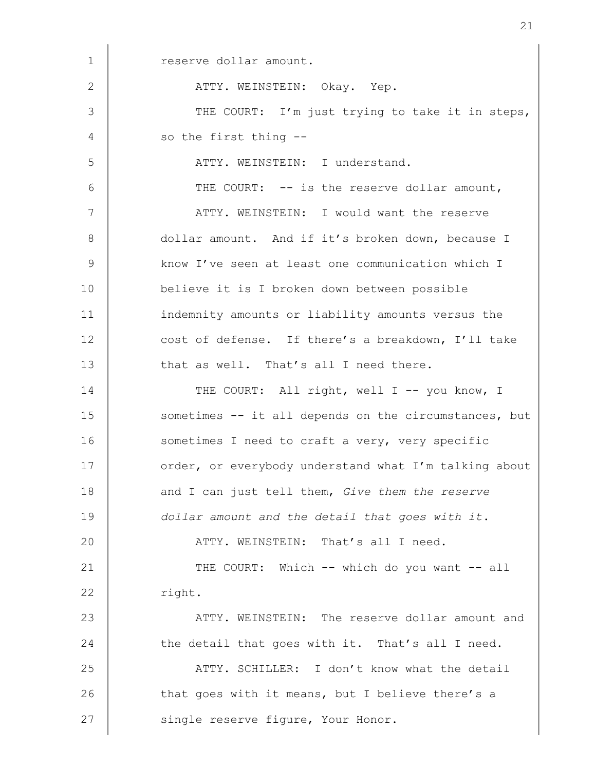1 reserve dollar amount. 2 | ATTY. WEINSTEIN: Okay. Yep. 3 THE COURT: I'm just trying to take it in steps, 4 so the first thing --5 || THE ATTY. WEINSTEIN: I understand. 6 THE COURT: -- is the reserve dollar amount, 7 | ATTY. WEINSTEIN: I would want the reserve 8 dollar amount. And if it's broken down, because I 9 know I've seen at least one communication which I 10 believe it is I broken down between possible 11 indemnity amounts or liability amounts versus the 12 cost of defense. If there's a breakdown, I'll take 13 that as well. That's all I need there. 14 THE COURT: All right, well I -- you know, I 15 Sometimes -- it all depends on the circumstances, but 16 sometimes I need to craft a very, very specific 17 **Jube 17** order, or everybody understand what I'm talking about 18 and I can just tell them, Give them the reserve 19 dollar amount and the detail that goes with it. 20 **ATTY. WEINSTEIN:** That's all I need. 21 THE COURT: Which -- which do you want -- all 22 | right. 23 ATTY. WEINSTEIN: The reserve dollar amount and 24 the detail that goes with it. That's all I need. 25 ATTY. SCHILLER: I don't know what the detail 26 that goes with it means, but I believe there's a 27 Single reserve figure, Your Honor.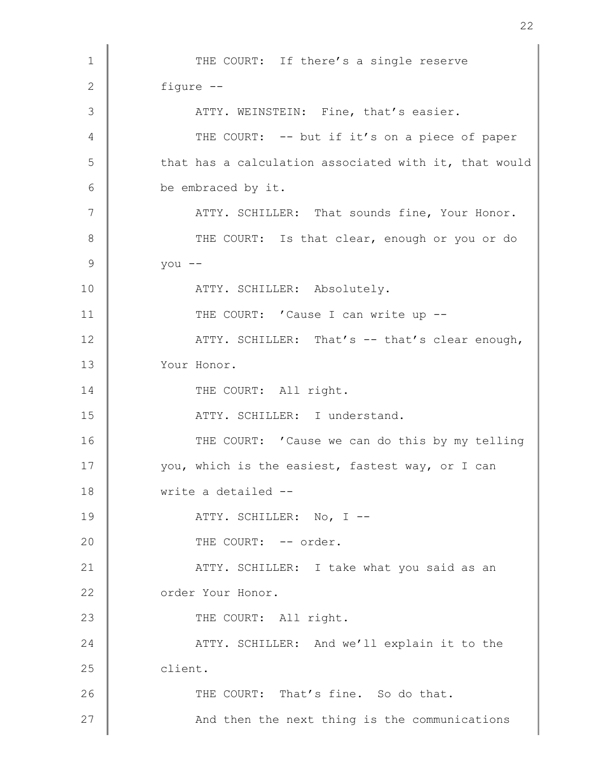1 THE COURT: If there's a single reserve 2 figure -- 3 | ATTY. WEINSTEIN: Fine, that's easier. 4 THE COURT: -- but if it's on a piece of paper 5 | that has a calculation associated with it, that would 6 be embraced by it. 7 | ATTY. SCHILLER: That sounds fine, Your Honor. 8 THE COURT: Is that clear, enough or you or do  $9 \parallel$  you --10 | ATTY. SCHILLER: Absolutely. 11 THE COURT: 'Cause I can write up --12 **ATTY. SCHILLER:** That's -- that's clear enough, 13 Your Honor. 14 THE COURT: All right. 15 **No. 2. 1.1.2.3.3.1.2.3.3.3.3.3.3.3.3.4.1.3.3.4.1.1.1.2.5.2.1.1.1.1.1.1.1.1.1.** 16 THE COURT: 'Cause we can do this by my telling 17 Vou, which is the easiest, fastest way, or I can 18 write a detailed -- 19 | ATTY. SCHILLER: No, I --20 | THE COURT: -- order. 21 ATTY. SCHILLER: I take what you said as an 22 | order Your Honor. 23 THE COURT: All right. 24 **ATTY.** SCHILLER: And we'll explain it to the 25 client. 26 THE COURT: That's fine. So do that. 27 **And then the next thing is the communications**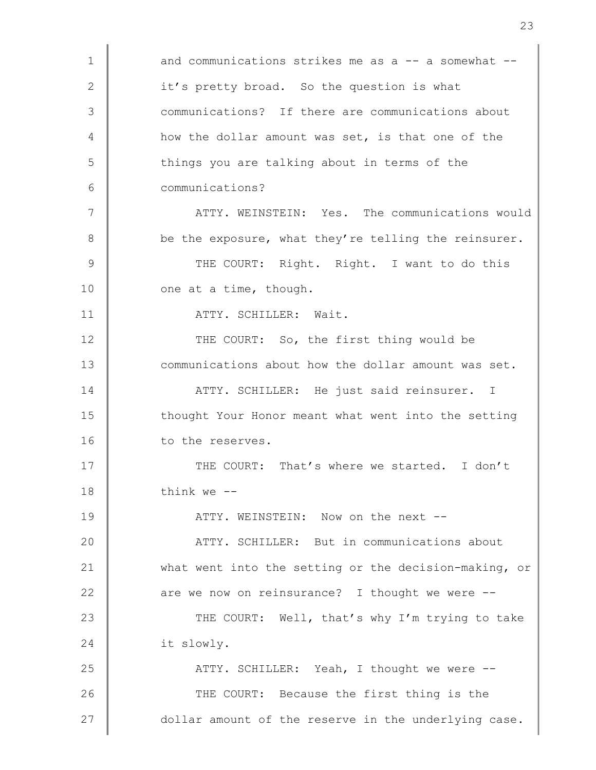1 and communications strikes me as a -- a somewhat --2  $\parallel$  it's pretty broad. So the question is what 3 communications? If there are communications about 4 how the dollar amount was set, is that one of the 5 | things you are talking about in terms of the 6 communications? 7 | ATTY. WEINSTEIN: Yes. The communications would 8 be the exposure, what they're telling the reinsurer. 9 THE COURT: Right. Right. I want to do this 10 one at a time, though. 11 | ATTY. SCHILLER: Wait. 12 THE COURT: So, the first thing would be 13 **Communications about how the dollar amount was set.** 14 **ATTY.** SCHILLER: He just said reinsurer. I 15 **thought Your Honor meant what went into the setting** 16 to the reserves. 17 THE COURT: That's where we started. I don't  $18$  think we  $-$ 19 ATTY. WEINSTEIN: Now on the next --20 ATTY. SCHILLER: But in communications about 21 what went into the setting or the decision-making, or 22 are we now on reinsurance? I thought we were --23 THE COURT: Well, that's why I'm trying to take 24 it slowly. 25 **ATTY. SCHILLER:** Yeah, I thought we were --26 THE COURT: Because the first thing is the 27  $\parallel$  dollar amount of the reserve in the underlying case.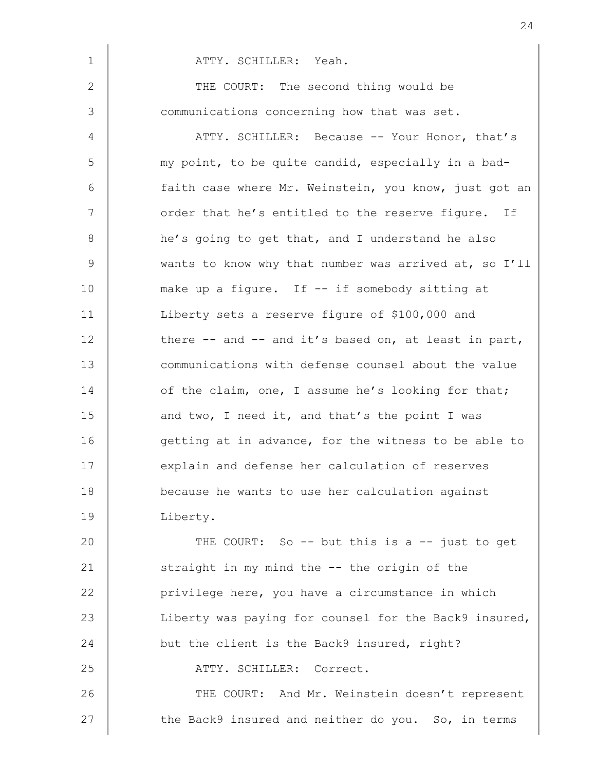1 | ATTY. SCHILLER: Yeah. 2 THE COURT: The second thing would be 3 Communications concerning how that was set. 4 ATTY. SCHILLER: Because -- Your Honor, that's 5 my point, to be quite candid, especially in a bad-6 faith case where Mr. Weinstein, you know, just got an 7 | order that he's entitled to the reserve figure. If 8 he's going to get that, and I understand he also 9 Wants to know why that number was arrived at, so I'll 10 make up a figure. If -- if somebody sitting at 11 Uniberty sets a reserve figure of \$100,000 and 12 there -- and -- and it's based on, at least in part, 13 **Communications with defense counsel about the value** 14 of the claim, one, I assume he's looking for that; 15 and two, I need it, and that's the point I was 16 getting at in advance, for the witness to be able to 17 explain and defense her calculation of reserves 18 **because he wants to use her calculation against** 19 Liberty.

20 THE COURT: So -- but this is a -- just to get 21 Straight in my mind the -- the origin of the 22 **privilege here,** you have a circumstance in which 23 Liberty was paying for counsel for the Back9 insured, 24 but the client is the Back9 insured, right? 25 | ATTY. SCHILLER: Correct. 26 THE COURT: And Mr. Weinstein doesn't represent 27 the Back9 insured and neither do you. So, in terms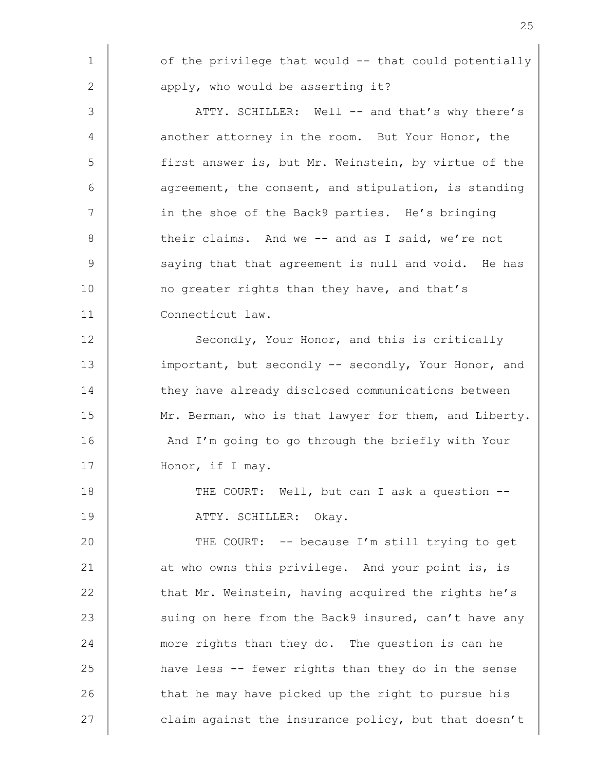1 | of the privilege that would -- that could potentially 2  $\parallel$  apply, who would be asserting it? 3 | ATTY. SCHILLER: Well -- and that's why there's 4 another attorney in the room. But Your Honor, the 5 first answer is, but Mr. Weinstein, by virtue of the  $6$  agreement, the consent, and stipulation, is standing 7 | in the shoe of the Back9 parties. He's bringing 8 their claims. And we -- and as I said, we're not  $9 \parallel$  saying that that agreement is null and void. He has 10 no greater rights than they have, and that's 11 Connecticut law. 12 Secondly, Your Honor, and this is critically 13 important, but secondly -- secondly, Your Honor, and 14 they have already disclosed communications between 15 Mr. Berman, who is that lawyer for them, and Liberty. 16 And I'm going to go through the briefly with Your 17 Honor, if I may. 18 THE COURT: Well, but can I ask a question --19 | ATTY. SCHILLER: Okay. 20 THE COURT: -- because I'm still trying to get 21 at who owns this privilege. And your point is, is 22  $\parallel$  that Mr. Weinstein, having acquired the rights he's 23 | suing on here from the Back9 insured, can't have any 24 more rights than they do. The question is can he 25 **h** have less -- fewer rights than they do in the sense 26 that he may have picked up the right to pursue his

27 | claim against the insurance policy, but that doesn't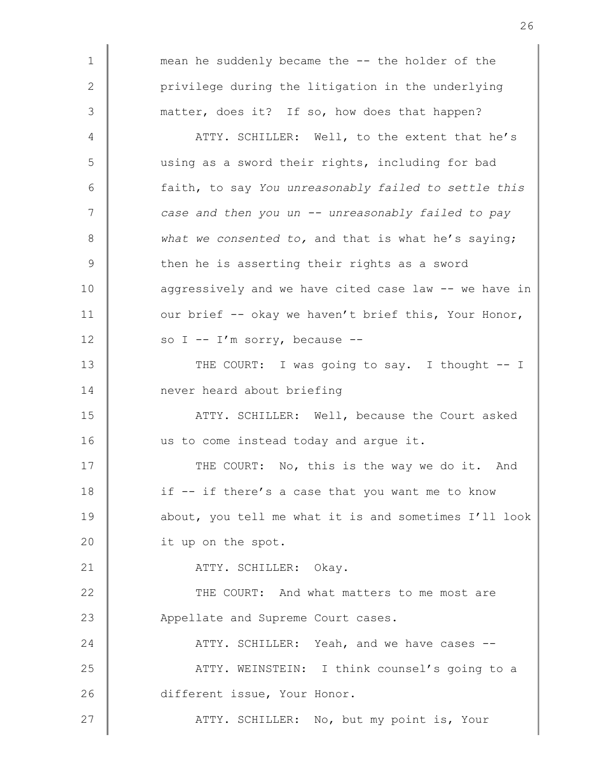1 mean he suddenly became the -- the holder of the 2 | privilege during the litigation in the underlying 3 matter, does it? If so, how does that happen?

4 ATTY. SCHILLER: Well, to the extent that he's 5 using as a sword their rights, including for bad 6 faith, to say You unreasonably failed to settle this 7 | case and then you un -- unreasonably failed to pay  $8 \parallel$  what we consented to, and that is what he's saying;  $9 \parallel$  then he is asserting their rights as a sword 10  $\parallel$  aggressively and we have cited case law -- we have in 11 vur brief -- okay we haven't brief this, Your Honor, 12  $\parallel$  so I -- I'm sorry, because --

13 THE COURT: I was going to say. I thought -- I 14 mever heard about briefing

15 **ATTY. SCHILLER:** Well, because the Court asked 16 us to come instead today and arque it.

17 THE COURT: No, this is the way we do it. And 18 if -- if there's a case that you want me to know 19 **about, you tell me what it is and sometimes I'll look** 20 it up on the spot.

21 | ATTY. SCHILLER: Okay.

22 THE COURT: And what matters to me most are 23 Appellate and Supreme Court cases.

24 ATTY. SCHILLER: Yeah, and we have cases --25 ATTY. WEINSTEIN: I think counsel's going to a 26 different issue, Your Honor.

27 ATTY. SCHILLER: No, but my point is, Your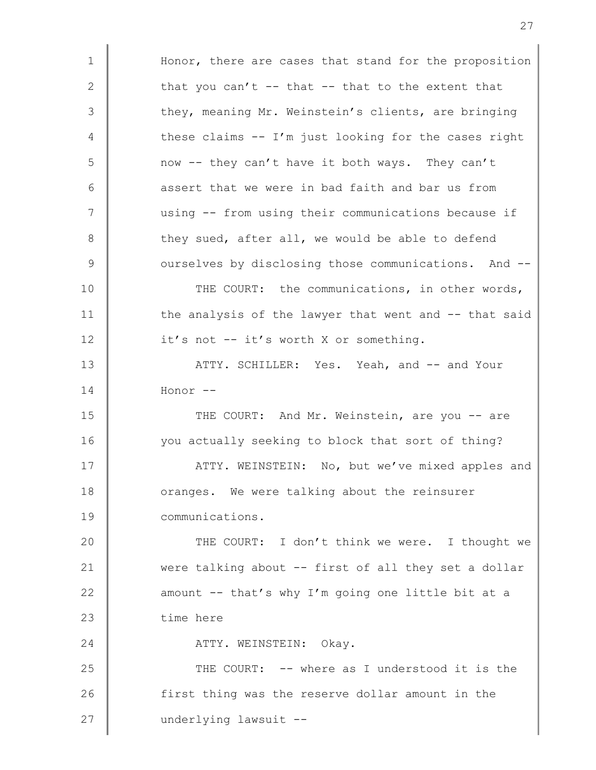1 | Honor, there are cases that stand for the proposition 2 that you can't -- that -- that to the extent that 3 they, meaning Mr. Weinstein's clients, are bringing  $4 \parallel$  these claims -- I'm just looking for the cases right 5 | now -- they can't have it both ways. They can't  $6$   $\parallel$  assert that we were in bad faith and bar us from 7 using -- from using their communications because if 8 they sued, after all, we would be able to defend 9 | ourselves by disclosing those communications. And --10 THE COURT: the communications, in other words, 11 the analysis of the lawyer that went and -- that said 12 **it's** not -- it's worth X or something. 13 **ATTY. SCHILLER:** Yes. Yeah, and -- and Your 14 Honor -- 15 THE COURT: And Mr. Weinstein, are you -- are 16 you actually seeking to block that sort of thing? 17 | ATTY. WEINSTEIN: No, but we've mixed apples and 18 **July 18** oranges. We were talking about the reinsurer 19 communications. 20 THE COURT: I don't think we were. I thought we 21 were talking about -- first of all they set a dollar 22 **amount -- that's why I'm going one little bit at a** 23 time here 24 ATTY. WEINSTEIN: Okay. 25 THE COURT: -- where as I understood it is the 26 first thing was the reserve dollar amount in the 27 | underlying lawsuit --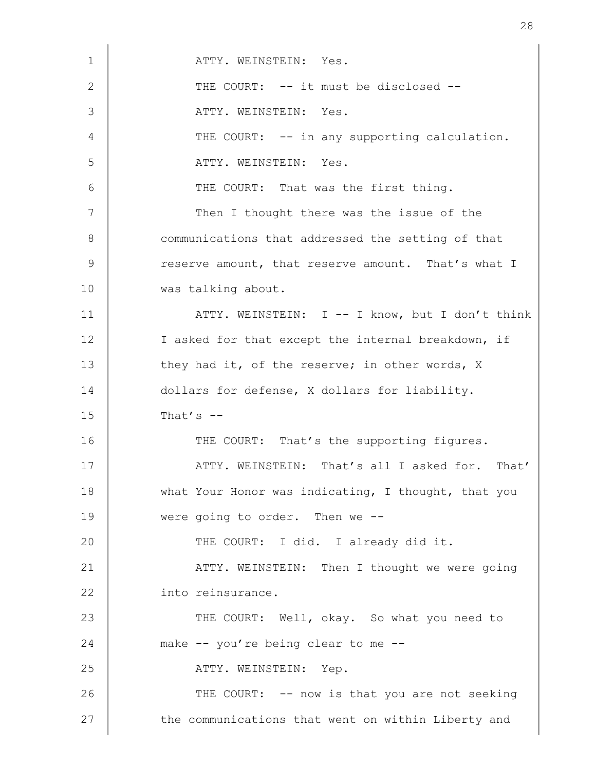| $\mathbf 1$ | ATTY. WEINSTEIN: Yes.                               |
|-------------|-----------------------------------------------------|
| 2           | THE COURT: -- it must be disclosed --               |
| 3           | ATTY. WEINSTEIN: Yes.                               |
| 4           | THE COURT: -- in any supporting calculation.        |
| 5           | ATTY. WEINSTEIN: Yes.                               |
| 6           | THE COURT: That was the first thing.                |
| 7           | Then I thought there was the issue of the           |
| $8\,$       | communications that addressed the setting of that   |
| 9           | reserve amount, that reserve amount. That's what I  |
| 10          | was talking about.                                  |
| 11          | ATTY. WEINSTEIN: I -- I know, but I don't think     |
| 12          | I asked for that except the internal breakdown, if  |
| 13          | they had it, of the reserve; in other words, X      |
| 14          | dollars for defense, X dollars for liability.       |
| 15          | That's $--$                                         |
| 16          | THE COURT: That's the supporting figures.           |
| 17          | ATTY. WEINSTEIN: That's all I asked for. That'      |
| 18          | what Your Honor was indicating, I thought, that you |
| 19          | were going to order. Then we --                     |
| 20          | THE COURT: I did. I already did it.                 |
| 21          | ATTY. WEINSTEIN: Then I thought we were going       |
| 22          | into reinsurance.                                   |
| 23          | THE COURT: Well, okay. So what you need to          |
| 24          | make -- you're being clear to me --                 |
| 25          | ATTY. WEINSTEIN: Yep.                               |
| 26          | THE COURT: -- now is that you are not seeking       |
| 27          | the communications that went on within Liberty and  |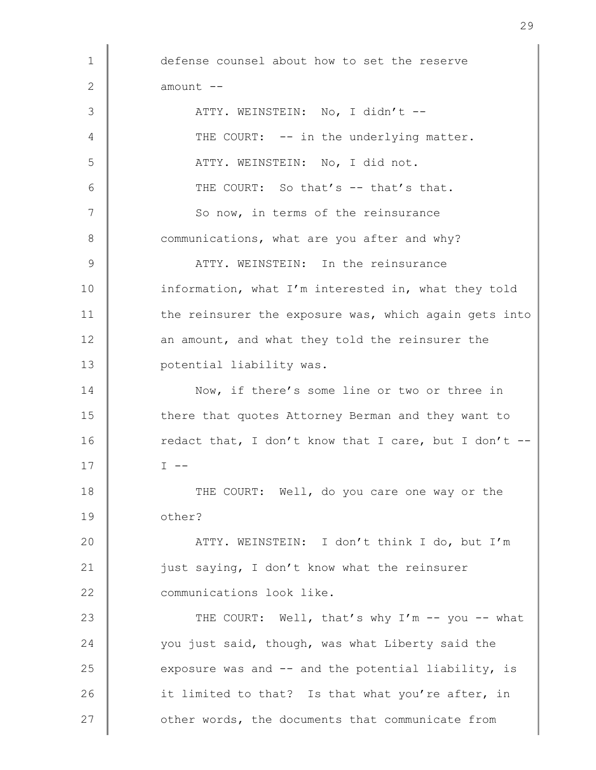1 defense counsel about how to set the reserve  $2 \parallel$  amount  $-$ 3 | ATTY. WEINSTEIN: No, I didn't --4 THE COURT: -- in the underlying matter. 5 | ATTY. WEINSTEIN: No, I did not. 6  $\parallel$  THE COURT: So that's -- that's that. 7 So now, in terms of the reinsurance 8 Communications, what are you after and why? 9 ATTY. WEINSTEIN: In the reinsurance 10 information, what I'm interested in, what they told 11 the reinsurer the exposure was, which again gets into 12 an amount, and what they told the reinsurer the 13 **potential liability was.** 14 Now, if there's some line or two or three in 15 there that quotes Attorney Berman and they want to 16 Tedact that, I don't know that I care, but I don't -- $17 \parallel$   $I \leftarrow$ 18 THE COURT: Well, do you care one way or the 19 other? 20 ATTY. WEINSTEIN: I don't think I do, but I'm 21 **just saying, I don't know what the reinsurer** 22 **Communications** look like. 23 THE COURT: Well, that's why I'm -- you -- what 24 vou just said, though, was what Liberty said the 25 exposure was and  $-$  and the potential liability, is 26 it limited to that? Is that what you're after, in 27 cther words, the documents that communicate from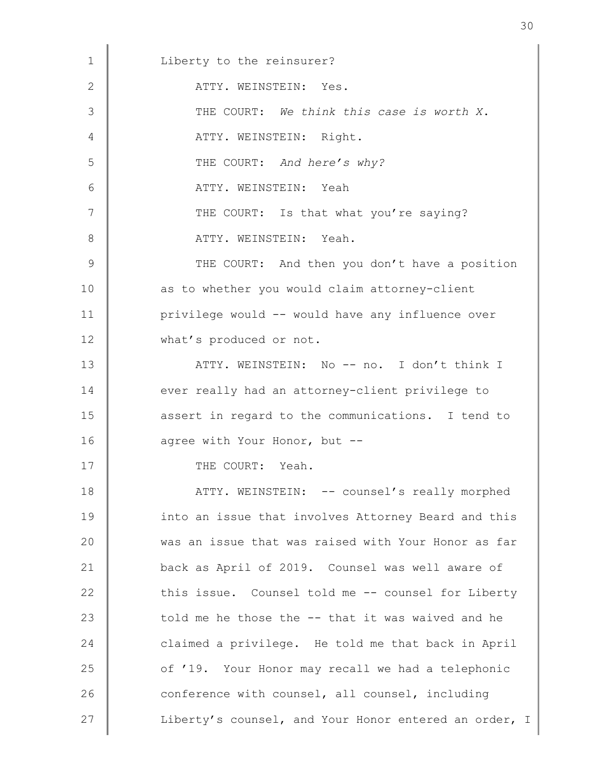| 1  | Liberty to the reinsurer?                             |
|----|-------------------------------------------------------|
| 2  | ATTY. WEINSTEIN: Yes.                                 |
| 3  | THE COURT: We think this case is worth X.             |
| 4  | ATTY. WEINSTEIN: Right.                               |
| 5  | THE COURT: And here's why?                            |
| 6  | ATTY. WEINSTEIN: Yeah                                 |
| 7  | THE COURT: Is that what you're saying?                |
| 8  | ATTY. WEINSTEIN: Yeah.                                |
| 9  | THE COURT: And then you don't have a position         |
| 10 | as to whether you would claim attorney-client         |
| 11 | privilege would -- would have any influence over      |
| 12 | what's produced or not.                               |
| 13 | ATTY. WEINSTEIN: No -- no. I don't think I            |
| 14 | ever really had an attorney-client privilege to       |
| 15 | assert in regard to the communications. I tend to     |
| 16 | agree with Your Honor, but --                         |
| 17 | THE COURT: Yeah.                                      |
| 18 | ATTY. WEINSTEIN: -- counsel's really morphed          |
| 19 | into an issue that involves Attorney Beard and this   |
| 20 | was an issue that was raised with Your Honor as far   |
| 21 | back as April of 2019. Counsel was well aware of      |
| 22 | this issue. Counsel told me -- counsel for Liberty    |
| 23 | told me he those the -- that it was waived and he     |
| 24 | claimed a privilege. He told me that back in April    |
| 25 | of '19. Your Honor may recall we had a telephonic     |
| 26 | conference with counsel, all counsel, including       |
| 27 | Liberty's counsel, and Your Honor entered an order, I |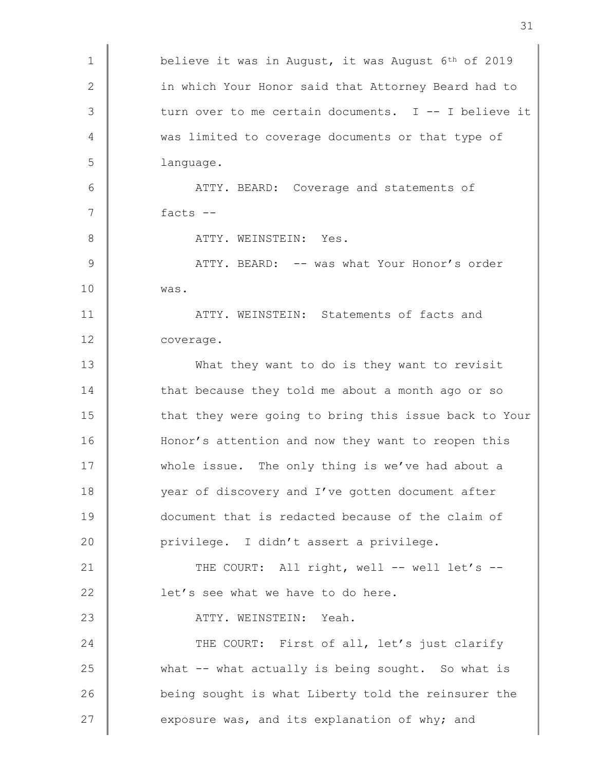| $\mathbf 1$  | believe it was in August, it was August 6 <sup>th</sup> of 2019 |
|--------------|-----------------------------------------------------------------|
|              |                                                                 |
| $\mathbf{2}$ | in which Your Honor said that Attorney Beard had to             |
| 3            | turn over to me certain documents. I -- I believe it            |
| 4            | was limited to coverage documents or that type of               |
| 5            | language.                                                       |
| 6            | ATTY. BEARD: Coverage and statements of                         |
| 7            | facts $--$                                                      |
| 8            | ATTY. WEINSTEIN: Yes.                                           |
| 9            | ATTY. BEARD: -- was what Your Honor's order                     |
| 10           | was.                                                            |
| 11           | ATTY. WEINSTEIN: Statements of facts and                        |
| 12           | coverage.                                                       |
| 13           | What they want to do is they want to revisit                    |
| 14           | that because they told me about a month ago or so               |
| 15           | that they were going to bring this issue back to Your           |
| 16           | Honor's attention and now they want to reopen this              |
| 17           | whole issue. The only thing is we've had about a                |
| 18           | year of discovery and I've gotten document after                |
| 19           | document that is redacted because of the claim of               |
| 20           | privilege. I didn't assert a privilege.                         |
| 21           | THE COURT: All right, well -- well let's --                     |
| 22           | let's see what we have to do here.                              |
| 23           | ATTY. WEINSTEIN: Yeah.                                          |
| 24           | THE COURT: First of all, let's just clarify                     |
| 25           | what -- what actually is being sought. So what is               |
| 26           | being sought is what Liberty told the reinsurer the             |
| 27           | exposure was, and its explanation of why; and                   |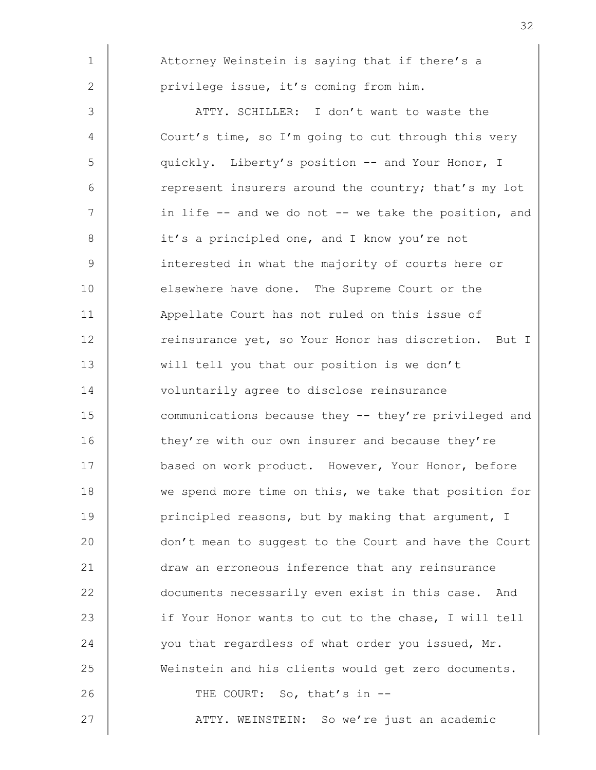1 | Attorney Weinstein is saying that if there's a 2 **privilege issue, it's coming from him.** 3 ATTY. SCHILLER: I don't want to waste the 4 Court's time, so I'm going to cut through this very 5 quickly. Liberty's position -- and Your Honor, I 6 crepresent insurers around the country; that's my lot 7 | in life -- and we do not -- we take the position, and 8 it's a principled one, and I know you're not 9 interested in what the majority of courts here or 10 elsewhere have done. The Supreme Court or the 11 **Appellate Court has not ruled on this issue of** 12 Teinsurance yet, so Your Honor has discretion. But I 13 will tell you that our position is we don't 14 voluntarily agree to disclose reinsurance 15 communications because they -- they're privileged and 16 they're with our own insurer and because they're 17 **based on work product.** However, Your Honor, before 18 we spend more time on this, we take that position for 19 **principled reasons, but by making that argument, I** 20 don't mean to suggest to the Court and have the Court 21 draw an erroneous inference that any reinsurance 22 documents necessarily even exist in this case. And 23 if Your Honor wants to cut to the chase, I will tell 24 vou that regardless of what order you issued, Mr. 25 Weinstein and his clients would get zero documents. 26 | THE COURT: So, that's in --27 ATTY. WEINSTEIN: So we're just an academic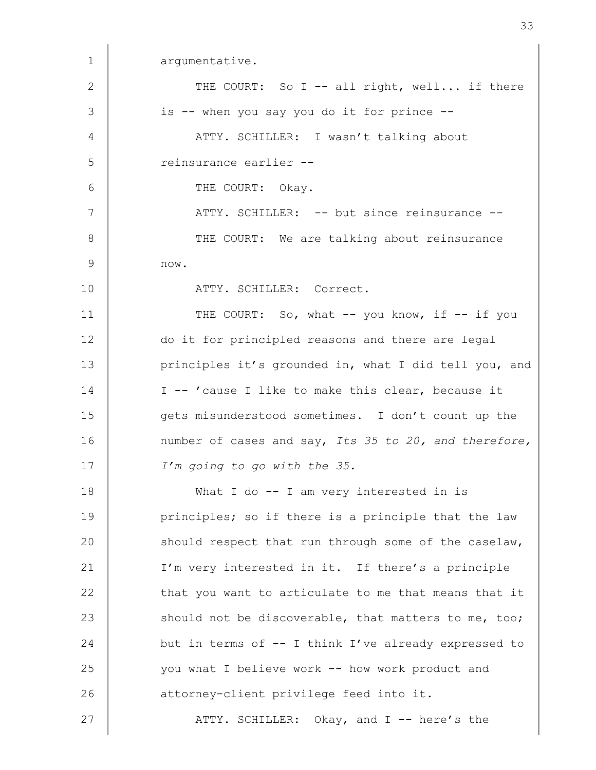1 argumentative. 2  $\parallel$  THE COURT: So I -- all right, well... if there 3 | is -- when you say you do it for prince --4 | ATTY. SCHILLER: I wasn't talking about 5 ceinsurance earlier --6 COURT: Okay. 7 | ATTY. SCHILLER: -- but since reinsurance --8 || THE COURT: We are talking about reinsurance  $9 \parallel$  now. 10 | ATTY. SCHILLER: Correct. 11 THE COURT: So, what -- you know, if -- if you 12 do it for principled reasons and there are legal 13 principles it's grounded in, what I did tell you, and 14 | I -- 'cause I like to make this clear, because it 15 gets misunderstood sometimes. I don't count up the 16 number of cases and say, Its 35 to 20, and therefore, 17 | I'm going to go with the 35. 18 What I do -- I am very interested in is 19 **principles;** so if there is a principle that the law 20 should respect that run through some of the caselaw, 21 | I'm very interested in it. If there's a principle 22 that you want to articulate to me that means that it 23 should not be discoverable, that matters to me, too; 24 but in terms of -- I think I've already expressed to 25 you what I believe work -- how work product and 26 **deg actorney-client privilege feed into it.** 27 **ATTY.** SCHILLER: Okay, and I -- here's the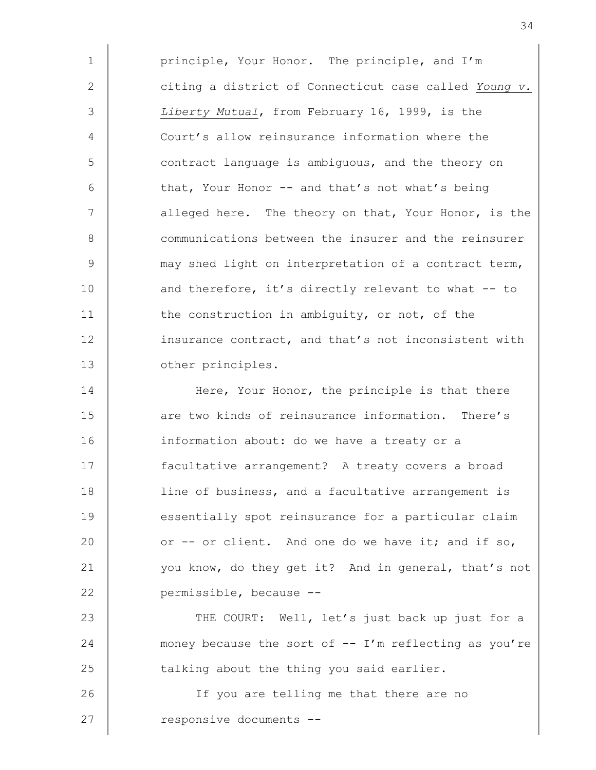1 | principle, Your Honor. The principle, and I'm 2  $\parallel$  citing a district of Connecticut case called Young v. 3 | Liberty Mutual, from February 16, 1999, is the 4 Court's allow reinsurance information where the 5 contract language is ambiguous, and the theory on  $6 \parallel$  that, Your Honor -- and that's not what's being 7 | alleged here. The theory on that, Your Honor, is the 8 Communications between the insurer and the reinsurer 9 may shed light on interpretation of a contract term, 10 and therefore, it's directly relevant to what -- to 11 the construction in ambiguity, or not, of the 12 insurance contract, and that's not inconsistent with 13 **July 13** other principles.

14 Here, Your Honor, the principle is that there 15 **a** are two kinds of reinsurance information. There's 16 information about: do we have a treaty or a 17 **facultative arrangement?** A treaty covers a broad 18 | line of business, and a facultative arrangement is 19 essentially spot reinsurance for a particular claim 20  $\parallel$  or -- or client. And one do we have it; and if so, 21 you know, do they get it? And in general, that's not 22 **permissible**, because --

23 THE COURT: Well, let's just back up just for a 24 money because the sort of -- I'm reflecting as you're  $25$   $\parallel$  talking about the thing you said earlier.

26 | The Section of the stelling me that there are no 27 cesponsive documents --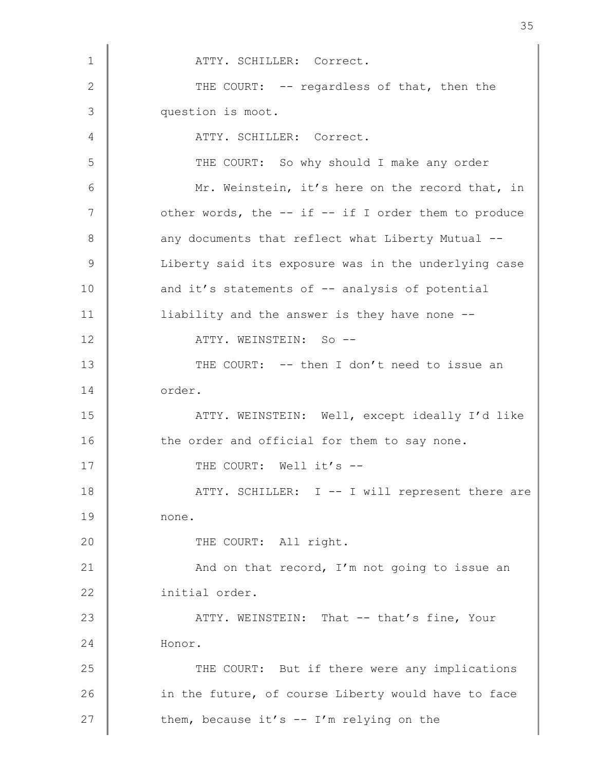1 | ATTY. SCHILLER: Correct. 2  $\parallel$  THE COURT: -- regardless of that, then the 3 question is moot. 4 ATTY. SCHILLER: Correct. 5 | THE COURT: So why should I make any order 6 Mr. Weinstein, it's here on the record that, in 7 | other words, the -- if -- if I order them to produce 8 any documents that reflect what Liberty Mutual --9 | Liberty said its exposure was in the underlying case 10 and it's statements of -- analysis of potential 11 | liability and the answer is they have none --12 NETTY. WEINSTEIN: So --13 THE COURT: -- then I don't need to issue an 14 order. 15 ATTY. WEINSTEIN: Well, except ideally I'd like 16 the order and official for them to say none. 17 THE COURT: Well it's --18 | ATTY. SCHILLER: I -- I will represent there are 19 none. 20 THE COURT: All right. 21 **And on that record, I'm not going to issue an** 22 | initial order. 23 ATTY. WEINSTEIN: That -- that's fine, Your 24 Honor. 25 THE COURT: But if there were any implications 26 in the future, of course Liberty would have to face 27  $\parallel$  them, because it's -- I'm relying on the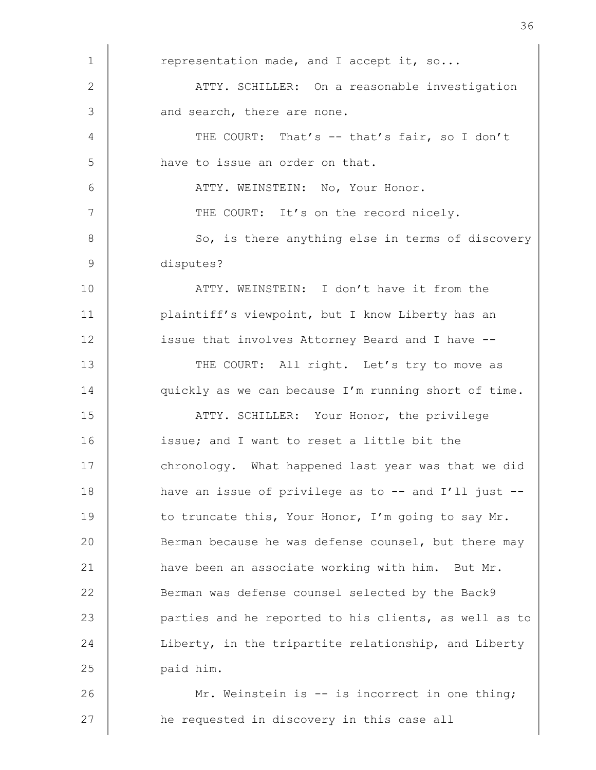| $\mathbf 1$   | representation made, and I accept it, so               |
|---------------|--------------------------------------------------------|
| $\mathbf{2}$  | ATTY. SCHILLER: On a reasonable investigation          |
| 3             | and search, there are none.                            |
| 4             | THE COURT: That's -- that's fair, so I don't           |
| 5             | have to issue an order on that.                        |
| $\epsilon$    | ATTY. WEINSTEIN: No, Your Honor.                       |
| 7             | THE COURT: It's on the record nicely.                  |
| 8             | So, is there anything else in terms of discovery       |
| $\mathcal{G}$ | disputes?                                              |
| 10            | ATTY. WEINSTEIN: I don't have it from the              |
| 11            | plaintiff's viewpoint, but I know Liberty has an       |
| 12            | issue that involves Attorney Beard and I have --       |
| 13            | THE COURT: All right. Let's try to move as             |
| 14            | quickly as we can because I'm running short of time.   |
| 15            | ATTY. SCHILLER: Your Honor, the privilege              |
| 16            | issue; and I want to reset a little bit the            |
| 17            | chronology. What happened last year was that we did    |
| 18            | have an issue of privilege as to $-$ and I'll just $-$ |
| 19            | to truncate this, Your Honor, I'm going to say Mr.     |
| 20            | Berman because he was defense counsel, but there may   |
| 21            | have been an associate working with him. But Mr.       |
| 22            | Berman was defense counsel selected by the Back9       |
| 23            | parties and he reported to his clients, as well as to  |
| 24            | Liberty, in the tripartite relationship, and Liberty   |
| 25            | paid him.                                              |
| 26            | Mr. Weinstein is -- is incorrect in one thing;         |
| 27            | he requested in discovery in this case all             |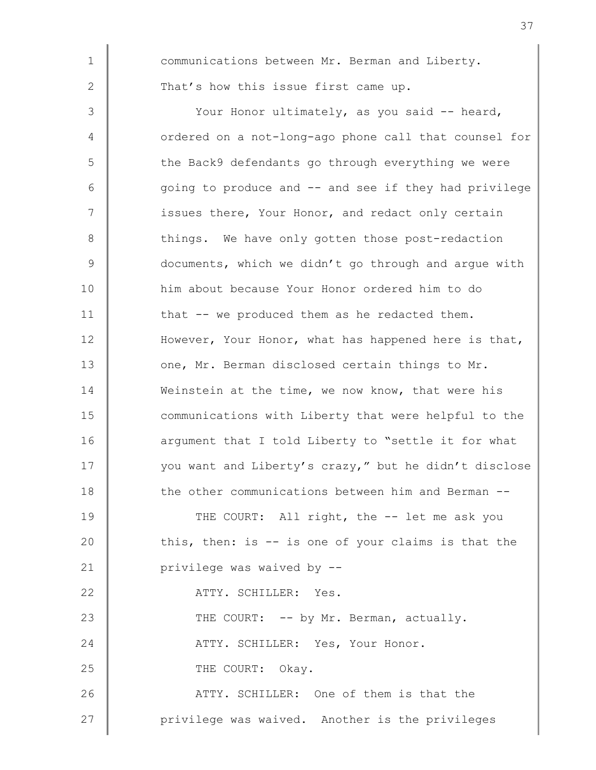1 communications between Mr. Berman and Liberty. 2 That's how this issue first came up. 3 | Your Honor ultimately, as you said -- heard, 4 ordered on a not-long-ago phone call that counsel for 5 The Back9 defendants go through everything we were 6 going to produce and -- and see if they had privilege 7 | issues there, Your Honor, and redact only certain 8 || things. We have only gotten those post-redaction 9 documents, which we didn't go through and argue with 10 him about because Your Honor ordered him to do 11 that -- we produced them as he redacted them. 12 **However, Your Honor, what has happened here is that,** 13 one, Mr. Berman disclosed certain things to Mr. 14 Weinstein at the time, we now know, that were his 15 **communications with Liberty that were helpful to the** 16 arqument that I told Liberty to "settle it for what 17 | vou want and Liberty's crazy," but he didn't disclose 18 the other communications between him and Berman --19 THE COURT: All right, the -- let me ask you 20 this, then: is -- is one of your claims is that the 21 **privilege** was waived by --22 ATTY. SCHILLER: Yes. 23 THE COURT: -- by Mr. Berman, actually. 24 | ATTY. SCHILLER: Yes, Your Honor. 25 COURT: Okay. 26 **ATTY.** SCHILLER: One of them is that the 27 | privilege was waived. Another is the privileges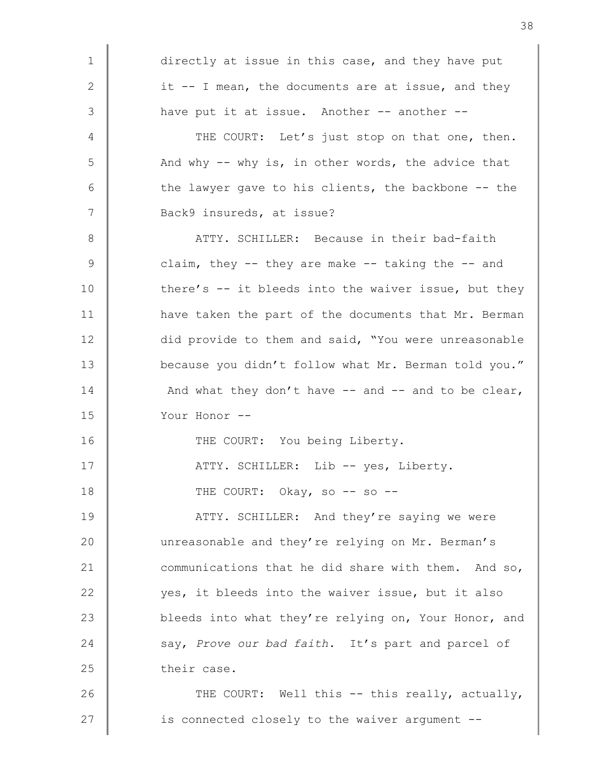1 directly at issue in this case, and they have put 2  $\parallel$  it -- I mean, the documents are at issue, and they 3 have put it at issue. Another -- another --4 THE COURT: Let's just stop on that one, then. 5 And why -- why is, in other words, the advice that  $6$   $\parallel$  the lawyer gave to his clients, the backbone -- the 7 | Back9 insureds, at issue? 8 | ATTY. SCHILLER: Because in their bad-faith  $9 \parallel$  claim, they -- they are make -- taking the -- and 10 there's -- it bleeds into the waiver issue, but they 11 **have taken the part of the documents that Mr. Berman** 12 did provide to them and said, "You were unreasonable 13 because you didn't follow what Mr. Berman told you." 14  $\parallel$  And what they don't have -- and -- and to be clear, 15 Your Honor -- 16 THE COURT: You being Liberty. 17 | ATTY. SCHILLER: Lib -- yes, Liberty. 18 THE COURT: Okay, so -- so --19 **ATTY.** SCHILLER: And they're saying we were 20 unreasonable and they're relying on Mr. Berman's 21 communications that he did share with them. And so, 22 yes, it bleeds into the waiver issue, but it also 23 bleeds into what they're relying on, Your Honor, and 24 say, Prove our bad faith. It's part and parcel of 25 their case. 26 THE COURT: Well this -- this really, actually,  $27$   $\parallel$  is connected closely to the waiver argument --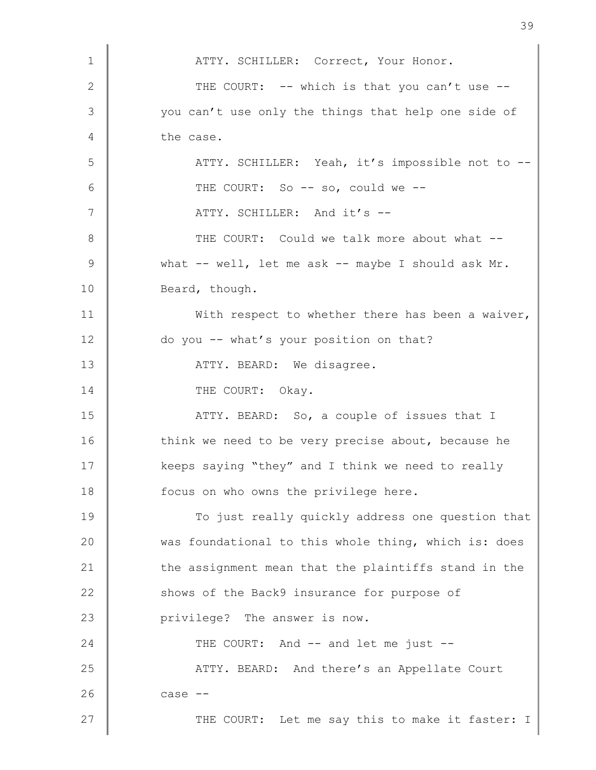| $\mathbf 1$   | ATTY. SCHILLER: Correct, Your Honor.                 |
|---------------|------------------------------------------------------|
| $\mathbf{2}$  | THE COURT: -- which is that you can't use --         |
| 3             | you can't use only the things that help one side of  |
|               |                                                      |
| 4             | the case.                                            |
| 5             | ATTY. SCHILLER: Yeah, it's impossible not to --      |
| 6             | THE COURT: So -- so, could we --                     |
| 7             | ATTY. SCHILLER: And it's --                          |
| 8             | THE COURT: Could we talk more about what --          |
| $\mathcal{G}$ | what -- well, let me ask -- maybe I should ask Mr.   |
| 10            | Beard, though.                                       |
| 11            | With respect to whether there has been a waiver,     |
| 12            | do you -- what's your position on that?              |
| 13            | ATTY. BEARD: We disagree.                            |
| 14            | THE COURT: Okay.                                     |
| 15            | ATTY. BEARD: So, a couple of issues that I           |
| 16            | think we need to be very precise about, because he   |
| 17            | keeps saying "they" and I think we need to really    |
| 18            | focus on who owns the privilege here.                |
| 19            | To just really quickly address one question that     |
| 20            | was foundational to this whole thing, which is: does |
| 21            | the assignment mean that the plaintiffs stand in the |
| 22            | shows of the Back9 insurance for purpose of          |
| 23            | privilege? The answer is now.                        |
| 24            | THE COURT: And -- and let me just --                 |
| 25            | ATTY. BEARD: And there's an Appellate Court          |
| 26            | $case --$                                            |
| 27            | THE COURT: Let me say this to make it faster: I      |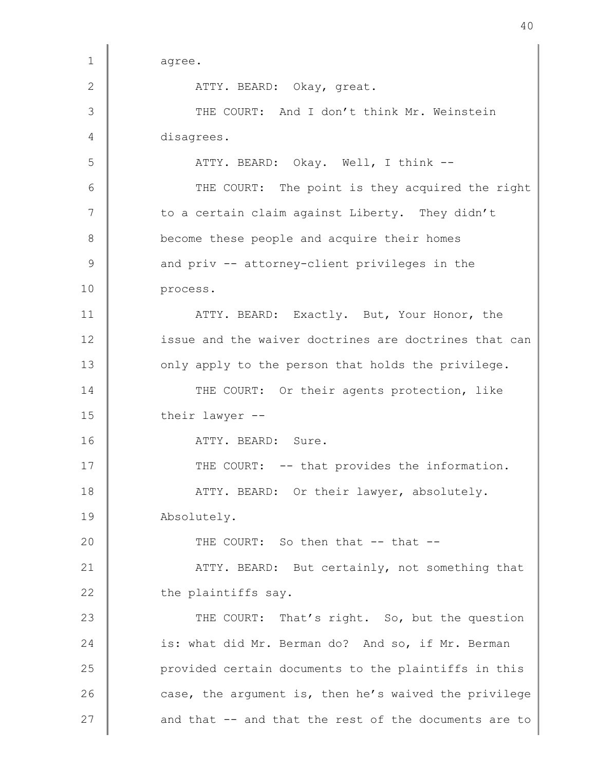1 agree. 2 ATTY. BEARD: Okay, great. 3 THE COURT: And I don't think Mr. Weinstein 4 disagrees. 5 || ATTY. BEARD: Okay. Well, I think --6 THE COURT: The point is they acquired the right  $7$   $\parallel$  to a certain claim against Liberty. They didn't 8 become these people and acquire their homes  $9 \parallel$  and priv -- attorney-client privileges in the 10 process. 11 **ATTY. BEARD:** Exactly. But, Your Honor, the 12 issue and the waiver doctrines are doctrines that can 13 only apply to the person that holds the privilege. 14 THE COURT: Or their agents protection, like 15 their lawyer --16 | ATTY. BEARD: Sure. 17 | THE COURT: -- that provides the information. 18 | ATTY. BEARD: Or their lawyer, absolutely. 19 | Absolutely. 20  $\parallel$  THE COURT: So then that  $-$  that  $-$ 21 **ATTY. BEARD:** But certainly, not something that  $22$   $\parallel$  the plaintiffs say. 23 THE COURT: That's right. So, but the question 24 is: what did Mr. Berman do? And so, if Mr. Berman 25 **provided certain documents to the plaintiffs in this** 26 case, the argument is, then he's waived the privilege 27  $\parallel$  and that -- and that the rest of the documents are to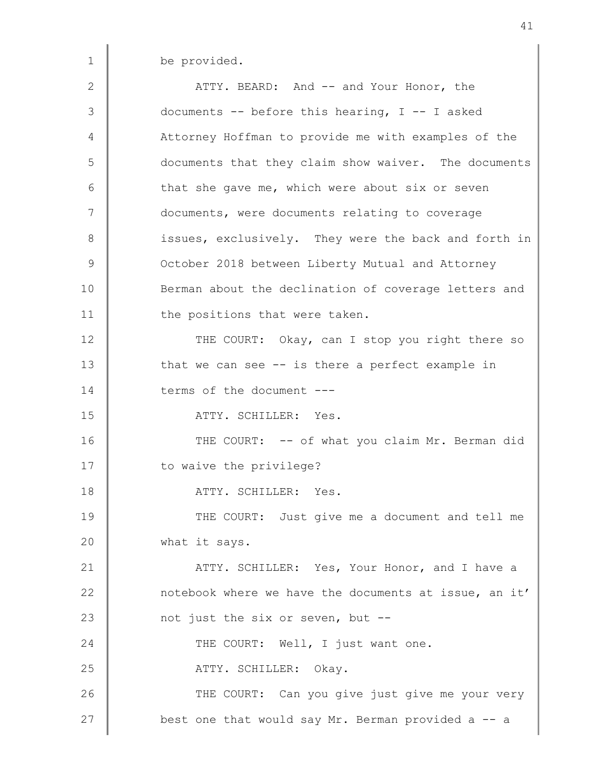1 be provided.

2 ATTY. BEARD: And -- and Your Honor, the 3 documents -- before this hearing, I -- I asked 4 Attorney Hoffman to provide me with examples of the 5 documents that they claim show waiver. The documents  $6 \parallel$  that she gave me, which were about six or seven 7 documents, were documents relating to coverage 8 issues, exclusively. They were the back and forth in 9 **October 2018 between Liberty Mutual and Attorney** 10 Berman about the declination of coverage letters and 11 | the positions that were taken. 12 THE COURT: Okay, can I stop you right there so 13 that we can see -- is there a perfect example in 14 terms of the document ---15 ATTY. SCHILLER: Yes. 16 THE COURT: -- of what you claim Mr. Berman did 17 | to waive the privilege? 18 ATTY. SCHILLER: Yes. 19 THE COURT: Just give me a document and tell me 20 **what it says.** 21 **ATTY. SCHILLER:** Yes, Your Honor, and I have a 22 notebook where we have the documents at issue, an it' 23 **not** just the six or seven, but --24 THE COURT: Well, I just want one. 25 | ATTY. SCHILLER: Okay. 26 THE COURT: Can you give just give me your very 27 **best one that would say Mr. Berman provided a -- a**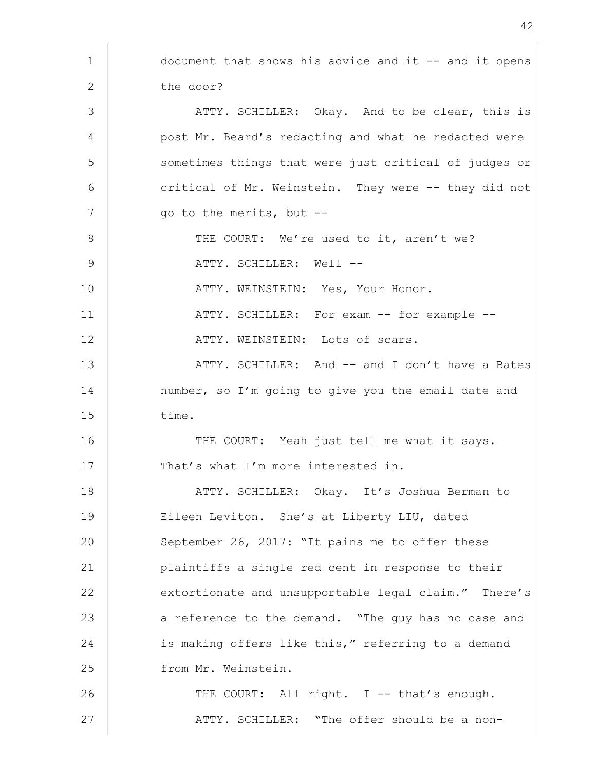| $\mathbf 1$ | document that shows his advice and it -- and it opens |
|-------------|-------------------------------------------------------|
| 2           | the door?                                             |
| 3           | ATTY. SCHILLER: Okay. And to be clear, this is        |
| 4           | post Mr. Beard's redacting and what he redacted were  |
| 5           | sometimes things that were just critical of judges or |
| 6           | critical of Mr. Weinstein. They were -- they did not  |
| 7           | go to the merits, but --                              |
| 8           | THE COURT: We're used to it, aren't we?               |
| 9           | ATTY. SCHILLER: Well --                               |
| 10          | ATTY. WEINSTEIN: Yes, Your Honor.                     |
| 11          | ATTY. SCHILLER: For exam -- for example --            |
| 12          | ATTY. WEINSTEIN: Lots of scars.                       |
| 13          | ATTY. SCHILLER: And -- and I don't have a Bates       |
| 14          | number, so I'm going to give you the email date and   |
| 15          | time.                                                 |
| 16          | THE COURT: Yeah just tell me what it says.            |
| 17          | That's what I'm more interested in.                   |
| 18          | ATTY. SCHILLER: Okay. It's Joshua Berman to           |
| 19          | Eileen Leviton. She's at Liberty LIU, dated           |
| 20          | September 26, 2017: "It pains me to offer these       |
| 21          | plaintiffs a single red cent in response to their     |
| 22          | extortionate and unsupportable legal claim." There's  |
| 23          | a reference to the demand. "The guy has no case and   |
| 24          | is making offers like this," referring to a demand    |
| 25          | from Mr. Weinstein.                                   |
| 26          | THE COURT: All right. I -- that's enough.             |
| 27          | ATTY. SCHILLER: "The offer should be a non-           |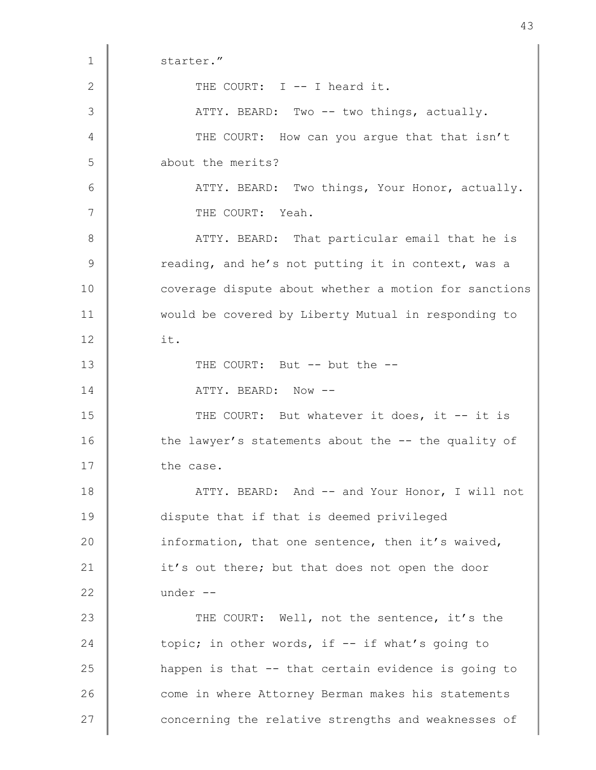1 starter." 2 THE COURT: I -- I heard it. 3 | ATTY. BEARD: Two -- two things, actually. 4 THE COURT: How can you argue that that isn't 5 about the merits? 6 | ATTY. BEARD: Two things, Your Honor, actually. 7 | THE COURT: Yeah. 8 | ATTY. BEARD: That particular email that he is 9 Teading, and he's not putting it in context, was a 10 coverage dispute about whether a motion for sanctions 11 would be covered by Liberty Mutual in responding to 12 it. 13 THE COURT: But -- but the --14 | ATTY. BEARD: Now --15 THE COURT: But whatever it does, it -- it is 16 the lawyer's statements about the -- the quality of 17 the case. 18 | ATTY. BEARD: And -- and Your Honor, I will not 19 dispute that if that is deemed privileged 20 information, that one sentence, then it's waived, 21 it's out there; but that does not open the door 22 | under --23 THE COURT: Well, not the sentence, it's the 24 topic; in other words, if -- if what's going to 25 **happen** is that -- that certain evidence is going to 26 come in where Attorney Berman makes his statements 27 | concerning the relative strengths and weaknesses of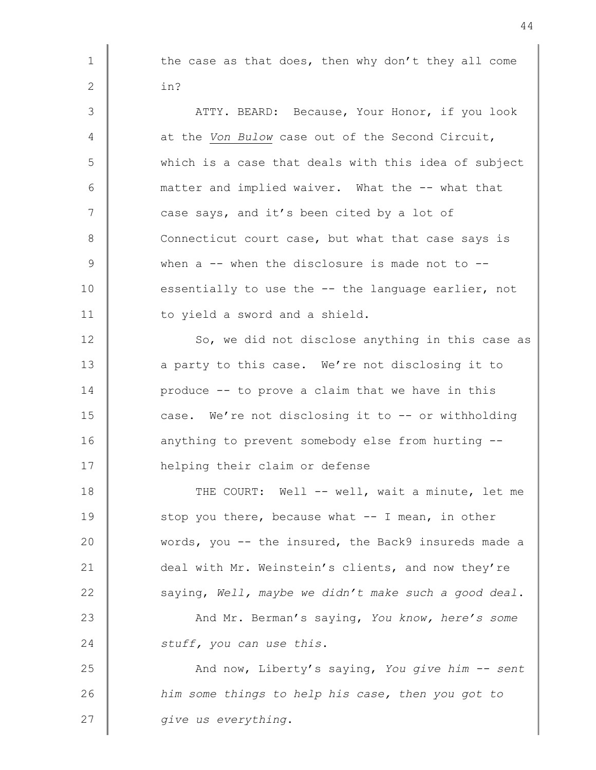1 | the case as that does, then why don't they all come 2  $\vert$  in? 3 | ATTY. BEARD: Because, Your Honor, if you look 4 at the Von Bulow case out of the Second Circuit, 5 which is a case that deals with this idea of subject 6 matter and implied waiver. What the -- what that 7 case says, and it's been cited by a lot of 8 Connecticut court case, but what that case says is 9 When a -- when the disclosure is made not to --10 essentially to use the -- the language earlier, not 11 | to yield a sword and a shield. 12 So, we did not disclose anything in this case as 13 a party to this case. We're not disclosing it to 14 **produce -- to prove a claim that we have in this** 15 case. We're not disclosing it to -- or withholding 16 anything to prevent somebody else from hurting --17 **helping their claim or defense** 18 THE COURT: Well -- well, wait a minute, let me  $19$   $\parallel$  stop you there, because what  $-$  I mean, in other 20 words, you -- the insured, the Back9 insureds made a 21 deal with Mr. Weinstein's clients, and now they're 22  $\parallel$  saying, Well, maybe we didn't make such a good deal. 23 And Mr. Berman's saying, You know, here's some 24 Stuff, you can use this. 25 And now, Liberty's saying, You give him -- sent 26 **him** some things to help his case, then you got to 27  $\parallel$  give us everything.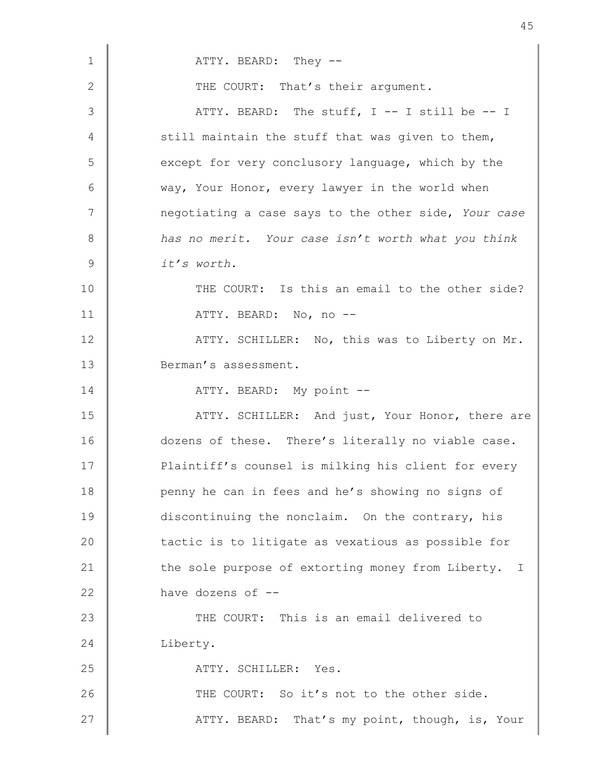| $\mathbf 1$    | ATTY. BEARD: They --                                   |
|----------------|--------------------------------------------------------|
| $\mathbf{2}$   | THE COURT: That's their argument.                      |
| 3              | ATTY. BEARD: The stuff, I -- I still be -- I           |
| $\overline{4}$ | still maintain the stuff that was given to them,       |
| 5              | except for very conclusory language, which by the      |
| 6              | way, Your Honor, every lawyer in the world when        |
| 7              | negotiating a case says to the other side, Your case   |
| $8\,$          | has no merit. Your case isn't worth what you think     |
| $\mathsf 9$    | it's worth.                                            |
| 10             | THE COURT: Is this an email to the other side?         |
| 11             | ATTY. BEARD: No, no --                                 |
| 12             | ATTY. SCHILLER: No, this was to Liberty on Mr.         |
| 13             | Berman's assessment.                                   |
| 14             | ATTY. BEARD: My point --                               |
| 15             | ATTY. SCHILLER: And just, Your Honor, there are        |
| 16             | dozens of these. There's literally no viable case.     |
| 17             | Plaintiff's counsel is milking his client for every    |
| 18             | penny he can in fees and he's showing no signs of      |
| 19             | discontinuing the nonclaim. On the contrary, his       |
| 20             | tactic is to litigate as vexatious as possible for     |
| 21             | the sole purpose of extorting money from Liberty.<br>T |
| 22             | have dozens of --                                      |
| 23             | THE COURT: This is an email delivered to               |
| 24             | Liberty.                                               |
| 25             | ATTY. SCHILLER: Yes.                                   |
| 26             | THE COURT: So it's not to the other side.              |
| 27             | ATTY. BEARD: That's my point, though, is, Your         |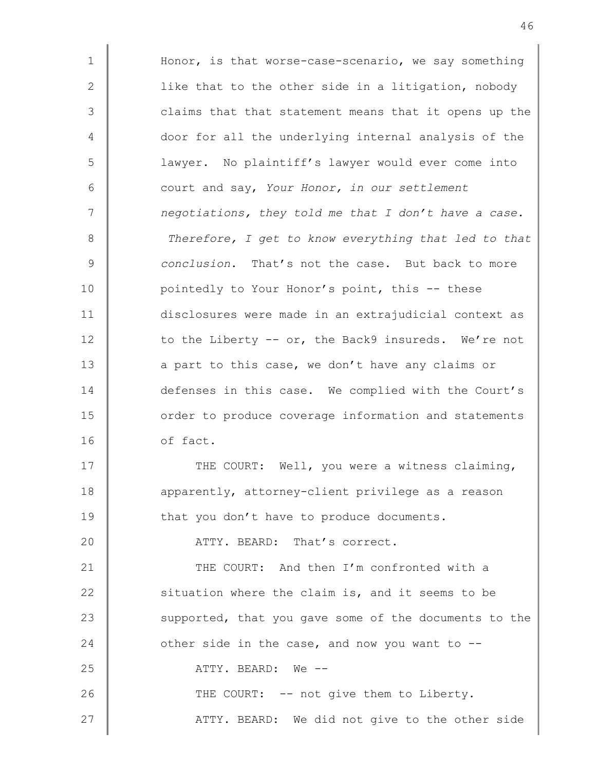1 | Honor, is that worse-case-scenario, we say something 2 | like that to the other side in a litigation, nobody 3 | claims that that statement means that it opens up the 4 door for all the underlying internal analysis of the 5 lawyer. No plaintiff's lawyer would ever come into 6 court and say, Your Honor, in our settlement 7 | negotiations, they told me that I don't have a case. 8 | Therefore, I get to know everything that led to that 9 conclusion. That's not the case. But back to more 10 **pointedly to Your Honor's point, this -- these** 11 disclosures were made in an extrajudicial context as 12 to the Liberty -- or, the Back9 insureds. We're not 13 a part to this case, we don't have any claims or 14 defenses in this case. We complied with the Court's 15 **c** order to produce coverage information and statements 16 of fact. 17 THE COURT: Well, you were a witness claiming, 18 **dec** apparently, attorney-client privilege as a reason 19 that you don't have to produce documents. 20 **ATTY, BEARD:** That's correct. 21 **THE COURT:** And then I'm confronted with a 22 **S** ituation where the claim is, and it seems to be

23 supported, that you gave some of the documents to the

27 | ATTY. BEARD: We did not give to the other side

24  $\parallel$  other side in the case, and now you want to  $-$ 

26 THE COURT: -- not give them to Liberty.

25 ATTY. BEARD: We --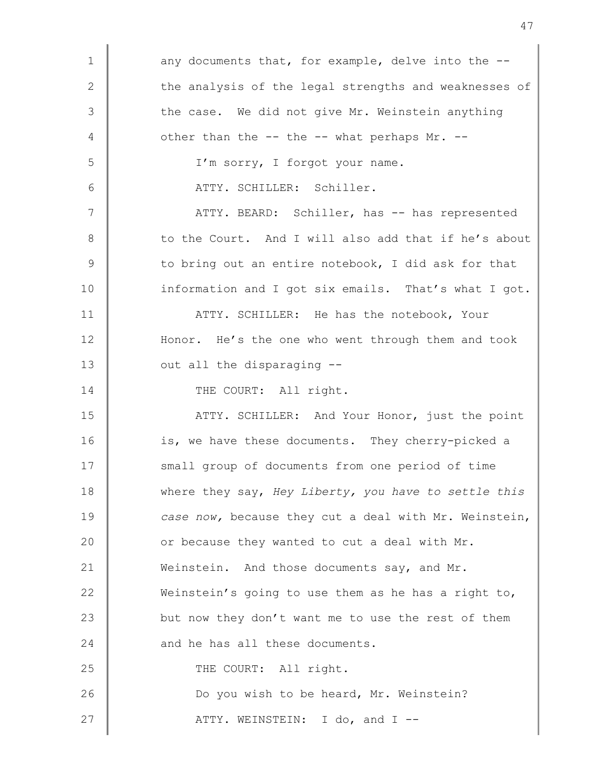| $\mathbf 1$     | any documents that, for example, delve into the --    |
|-----------------|-------------------------------------------------------|
| $\sqrt{2}$      | the analysis of the legal strengths and weaknesses of |
| 3               | the case. We did not give Mr. Weinstein anything      |
| 4               | other than the -- the -- what perhaps Mr. --          |
| 5               | I'm sorry, I forgot your name.                        |
| 6               | ATTY. SCHILLER: Schiller.                             |
| $7\phantom{.0}$ | ATTY. BEARD: Schiller, has -- has represented         |
| $\,8\,$         | to the Court. And I will also add that if he's about  |
| 9               | to bring out an entire notebook, I did ask for that   |
| 10              | information and I got six emails. That's what I got.  |
| 11              | ATTY. SCHILLER: He has the notebook, Your             |
| 12              | Honor. He's the one who went through them and took    |
| 13              | out all the disparaging --                            |
| 14              | THE COURT: All right.                                 |
| 15              | ATTY. SCHILLER: And Your Honor, just the point        |
| 16              | is, we have these documents. They cherry-picked a     |
| 17              | small group of documents from one period of time      |
| 18              | where they say, Hey Liberty, you have to settle this  |
| 19              | case now, because they cut a deal with Mr. Weinstein, |
| 20              | or because they wanted to cut a deal with Mr.         |
| 21              | Weinstein. And those documents say, and Mr.           |
| 22              | Weinstein's going to use them as he has a right to,   |
| 23              | but now they don't want me to use the rest of them    |
| 24              | and he has all these documents.                       |
| 25              | THE COURT: All right.                                 |
| 26              | Do you wish to be heard, Mr. Weinstein?               |
| 27              | ATTY. WEINSTEIN: I do, and I --                       |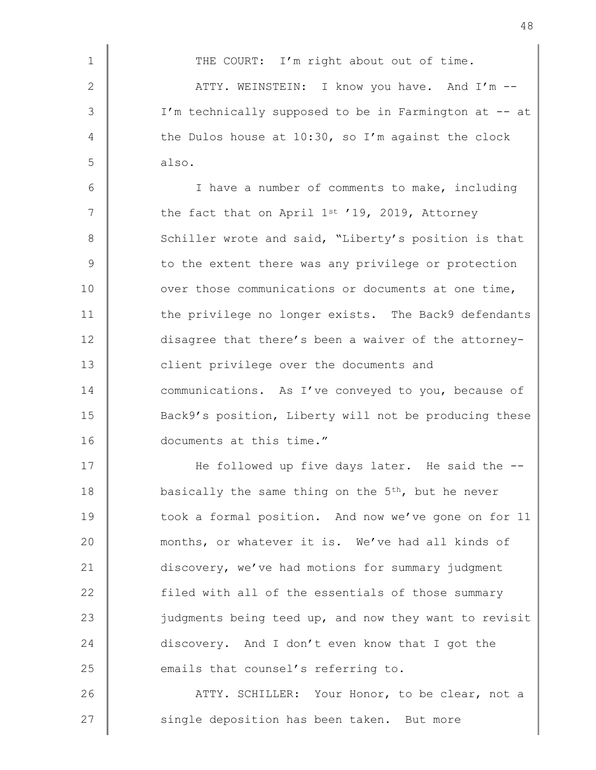1 THE COURT: I'm right about out of time.  $2$   $\parallel$   $\blacksquare$   $\blacksquare$   $\blacksquare$   $\blacksquare$   $\blacksquare$   $\blacksquare$   $\blacksquare$   $\blacksquare$   $\blacksquare$   $\blacksquare$   $\blacksquare$   $\blacksquare$   $\blacksquare$   $\blacksquare$   $\blacksquare$   $\blacksquare$   $\blacksquare$   $\blacksquare$   $\blacksquare$   $\blacksquare$   $\blacksquare$   $\blacksquare$   $\blacksquare$   $\blacksquare$   $\blacksquare$   $\blacksquare$   $\blacksquare$   $\blacksquare$   $\blacksquare$   $\blacksquare$   $\$ 3 | I'm technically supposed to be in Farmington at -- at 4 the Dulos house at 10:30, so I'm against the clock  $5 \parallel$  also. 6 I have a number of comments to make, including

 $7$   $\parallel$  the fact that on April 1st '19, 2019, Attorney 8 Schiller wrote and said, "Liberty's position is that  $9 \parallel$  to the extent there was any privilege or protection 10 ver those communications or documents at one time, 11 the privilege no longer exists. The Back9 defendants 12 disagree that there's been a waiver of the attorney-13 **Client** privilege over the documents and 14 communications. As I've conveyed to you, because of 15 Sack9's position, Liberty will not be producing these 16 documents at this time."

17 | He followed up five days later. He said the --18 basically the same thing on the  $5<sup>th</sup>$ , but he never 19 took a formal position. And now we've gone on for 11 20 months, or whatever it is. We've had all kinds of 21 discovery, we've had motions for summary judgment 22 filed with all of the essentials of those summary 23 judgments being teed up, and now they want to revisit 24 discovery. And I don't even know that I got the 25 emails that counsel's referring to.

26 **ATTY.** SCHILLER: Your Honor, to be clear, not a 27 single deposition has been taken. But more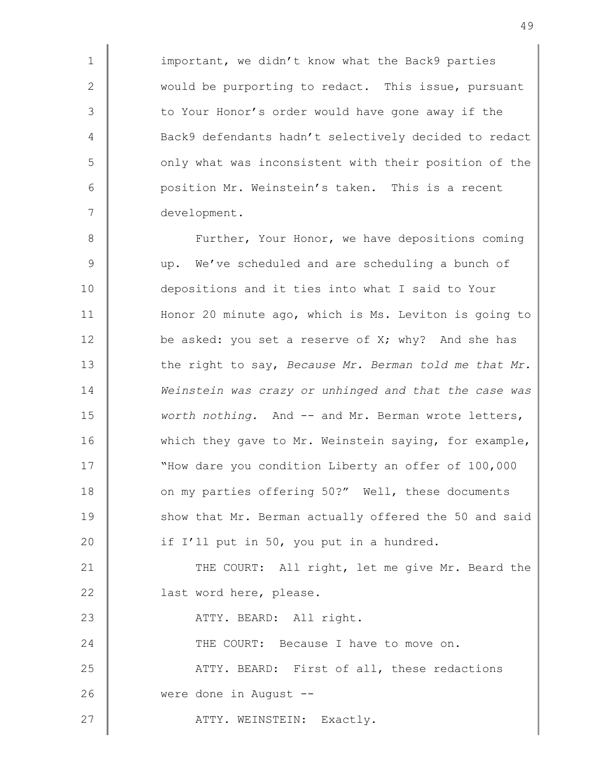1 | important, we didn't know what the Back9 parties 2 would be purporting to redact. This issue, pursuant 3 to Your Honor's order would have gone away if the 4 Back9 defendants hadn't selectively decided to redact 5 | only what was inconsistent with their position of the 6 position Mr. Weinstein's taken. This is a recent 7 development.

8 | Further, Your Honor, we have depositions coming 9 up. We've scheduled and are scheduling a bunch of 10 depositions and it ties into what I said to Your 11 Honor 20 minute ago, which is Ms. Leviton is going to 12 be asked: you set a reserve of X; why? And she has 13 the right to say, Because Mr. Berman told me that Mr. 14 **Weinstein was crazy or unhinged and that the case was** 15 Worth nothing. And -- and Mr. Berman wrote letters, 16 which they gave to Mr. Weinstein saying, for example, 17 Whow dare you condition Liberty an offer of 100,000 18 **ORIGA** on my parties offering 50?" Well, these documents 19 Show that Mr. Berman actually offered the 50 and said 20 if I'll put in 50, you put in a hundred. 21 THE COURT: All right, let me give Mr. Beard the 22 **| last word here, please.** 23 | ATTY. BEARD: All right. 24 THE COURT: Because I have to move on. 25 ATTY. BEARD: First of all, these redactions 26 were done in August --

27 ATTY. WEINSTEIN: Exactly.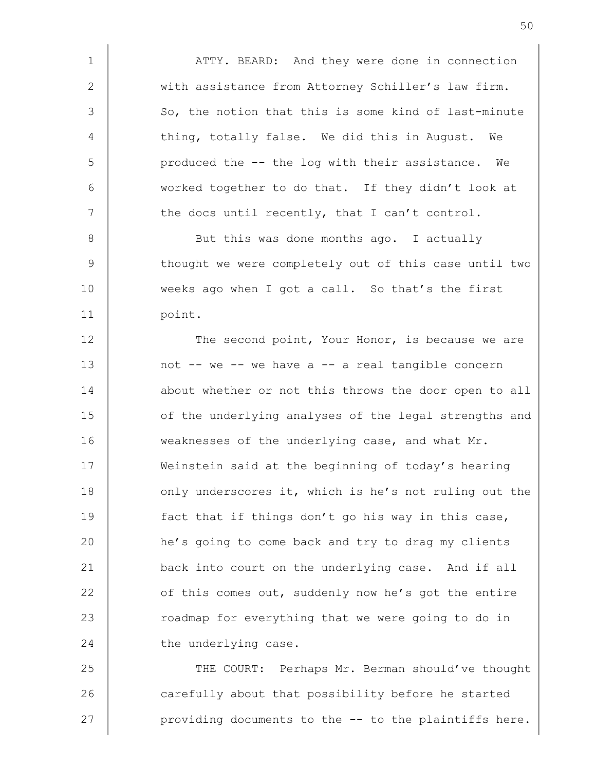1 | ATTY. BEARD: And they were done in connection 2 With assistance from Attorney Schiller's law firm.  $3 \parallel$  So, the notion that this is some kind of last-minute 4 thing, totally false. We did this in August. We 5 produced the -- the log with their assistance. We 6 worked together to do that. If they didn't look at  $7$   $\parallel$  the docs until recently, that I can't control.

8 Subset this was done months ago. I actually 9 Thought we were completely out of this case until two 10 weeks ago when I got a call. So that's the first 11 | point.

12 The second point, Your Honor, is because we are 13 not -- we -- we have a -- a real tangible concern 14 **a**bout whether or not this throws the door open to all 15 **o**f the underlying analyses of the legal strengths and 16 weaknesses of the underlying case, and what Mr. 17 Weinstein said at the beginning of today's hearing 18 only underscores it, which is he's not ruling out the 19 **fact that if things don't go his way in this case,** 20 **he's** going to come back and try to drag my clients 21 back into court on the underlying case. And if all 22 **o**f this comes out, suddenly now he's got the entire 23 Toadmap for everything that we were going to do in 24 the underlying case.

25 THE COURT: Perhaps Mr. Berman should've thought 26 carefully about that possibility before he started 27  $\parallel$  providing documents to the  $-$  to the plaintiffs here.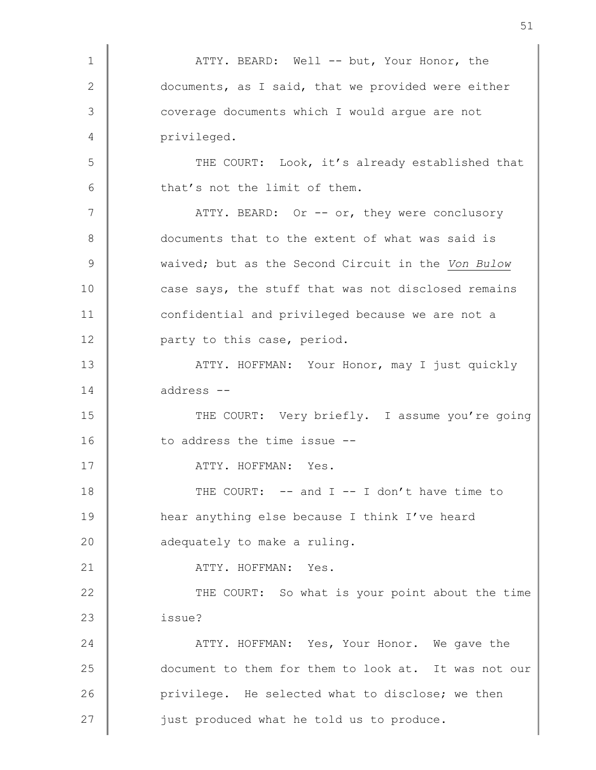1 | ATTY. BEARD: Well -- but, Your Honor, the 2 documents, as I said, that we provided were either 3 | coverage documents which I would argue are not 4 | privileged. 5 THE COURT: Look, it's already established that  $6$   $\parallel$  that's not the limit of them. 7 | ATTY. BEARD: Or -- or, they were conclusory 8 documents that to the extent of what was said is 9 Waived; but as the Second Circuit in the Von Bulow 10 case says, the stuff that was not disclosed remains 11 confidential and privileged because we are not a 12 **party** to this case, period. 13 ATTY. HOFFMAN: Your Honor, may I just quickly 14 address -- 15 THE COURT: Very briefly. I assume you're going 16 to address the time issue --17 | ATTY. HOFFMAN: Yes. 18 THE COURT: -- and I -- I don't have time to 19 hear anything else because I think I've heard 20 **adequately** to make a ruling. 21 | ATTY. HOFFMAN: Yes. 22 THE COURT: So what is your point about the time 23 issue? 24 ATTY. HOFFMAN: Yes, Your Honor. We gave the 25 document to them for them to look at. It was not our 26 **Privilege.** He selected what to disclose; we then  $27$   $\parallel$  just produced what he told us to produce.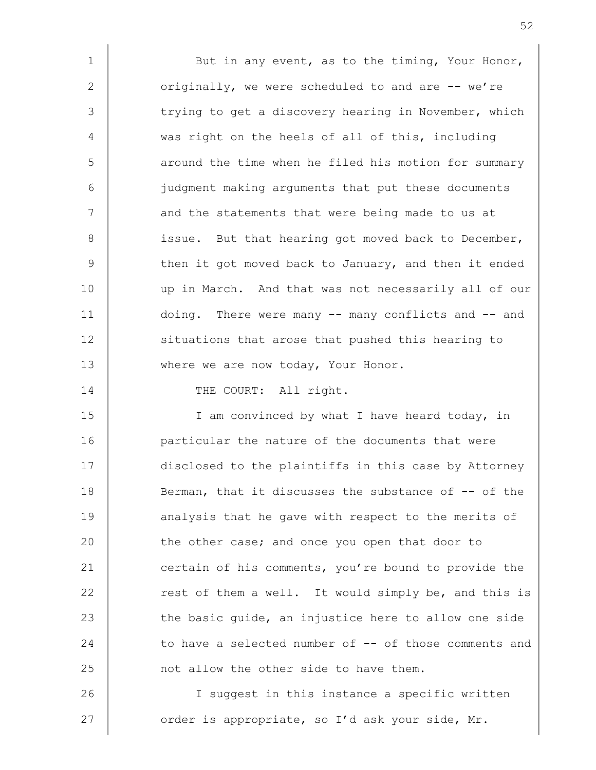1 | But in any event, as to the timing, Your Honor, 2 originally, we were scheduled to and are -- we're 3 The trying to get a discovery hearing in November, which 4 was right on the heels of all of this, including 5 || around the time when he filed his motion for summary 6 judgment making arguments that put these documents 7 | and the statements that were being made to us at 8 | issue. But that hearing got moved back to December,  $9 \parallel$  then it got moved back to January, and then it ended 10 up in March. And that was not necessarily all of our 11 doing. There were many -- many conflicts and -- and 12 **S**ituations that arose that pushed this hearing to 13 where we are now today, Your Honor.

14 THE COURT: All right.

15 | I am convinced by what I have heard today, in 16 **particular the nature of the documents that were** 17 disclosed to the plaintiffs in this case by Attorney 18 Berman, that it discusses the substance of -- of the 19 **analysis that he gave with respect to the merits of** 20 the other case; and once you open that door to 21 certain of his comments, you're bound to provide the 22 Test of them a well. It would simply be, and this is 23 the basic quide, an injustice here to allow one side 24 to have a selected number of -- of those comments and 25 **not allow the other side to have them.** 

26 I suggest in this instance a specific written 27  $\parallel$  order is appropriate, so I'd ask your side, Mr.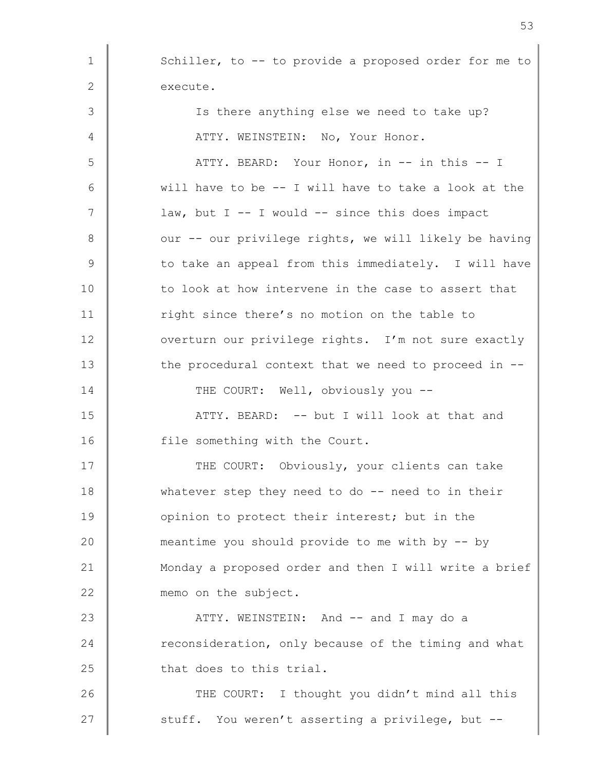1 Schiller, to -- to provide a proposed order for me to 2 execute. 3 | Is there anything else we need to take up? 4 | ATTY. WEINSTEIN: No, Your Honor. 5 ATTY. BEARD: Your Honor, in -- in this -- I  $6 \parallel$  will have to be -- I will have to take a look at the 7 | law, but I -- I would -- since this does impact 8 | our -- our privilege rights, we will likely be having  $9 \parallel$  to take an appeal from this immediately. I will have 10 to look at how intervene in the case to assert that 11 The since there's no motion on the table to 12 vverturn our privilege rights. I'm not sure exactly 13 the procedural context that we need to proceed in --14 THE COURT: Well, obviously you --15 | ATTY. BEARD: -- but I will look at that and 16 **file something with the Court.** 17 | THE COURT: Obviously, your clients can take 18 whatever step they need to do -- need to in their 19 **ORIGA** opinion to protect their interest; but in the 20 meantime you should provide to me with by -- by 21 Monday a proposed order and then I will write a brief 22 memo on the subject. 23 ATTY. WEINSTEIN: And -- and I may do a 24 Teconsideration, only because of the timing and what  $25$   $\parallel$  that does to this trial. 26 THE COURT: I thought you didn't mind all this 27 stuff. You weren't asserting a privilege, but --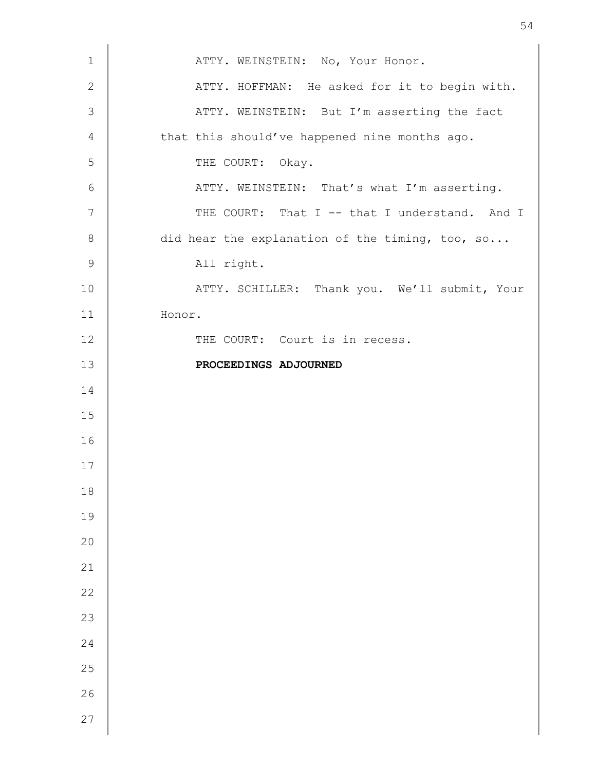| $\mathbf 1$    | ATTY. WEINSTEIN: No, Your Honor.                |
|----------------|-------------------------------------------------|
| $\sqrt{2}$     | ATTY. HOFFMAN: He asked for it to begin with.   |
| $\mathcal{S}$  | ATTY. WEINSTEIN: But I'm asserting the fact     |
| $\overline{4}$ | that this should've happened nine months ago.   |
| 5              | THE COURT: Okay.                                |
| 6              | ATTY. WEINSTEIN: That's what I'm asserting.     |
| $\overline{7}$ | THE COURT: That I -- that I understand. And I   |
| $\,8\,$        | did hear the explanation of the timing, too, so |
| $\mathsf 9$    | All right.                                      |
| 10             | ATTY. SCHILLER: Thank you. We'll submit, Your   |
| 11             | Honor.                                          |
| 12             | THE COURT: Court is in recess.                  |
| 13             | PROCEEDINGS ADJOURNED                           |
| 14             |                                                 |
| 15             |                                                 |
| 16             |                                                 |
| 17             |                                                 |
| 18             |                                                 |
| 19             |                                                 |
| 20             |                                                 |
| 21             |                                                 |
| 22             |                                                 |
| 23             |                                                 |
| 24             |                                                 |
| 25             |                                                 |
| 26             |                                                 |
| 27             |                                                 |
|                |                                                 |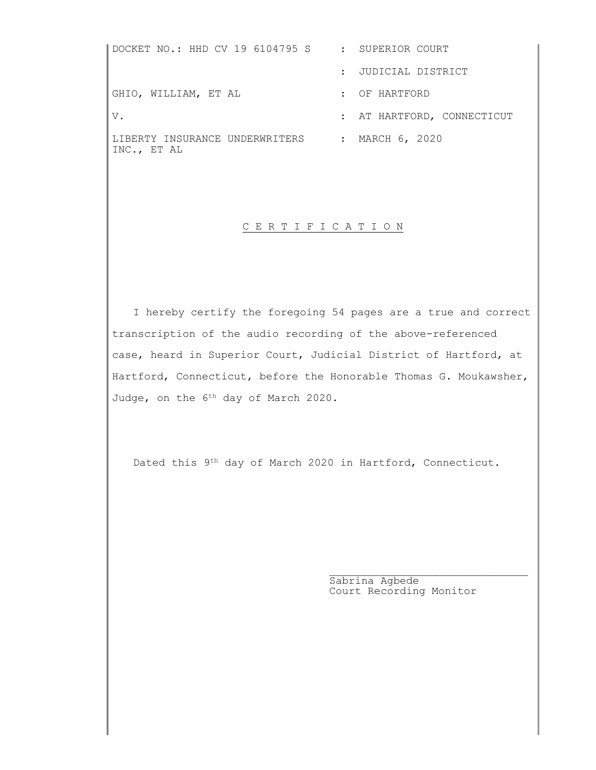DOCKET NO.: HHD CV 19 6104795 S : SUPERIOR COURT : JUDICIAL DISTRICT GHIO, WILLIAM, ET AL THE SERIES OF HARTFORD V. THARTFORD, CONNECTICUT LIBERTY INSURANCE UNDERWRITERS : MARCH 6, 2020 INC., ET AL

## C E R T I F I C A T I O N

 I hereby certify the foregoing 54 pages are a true and correct transcription of the audio recording of the above-referenced case, heard in Superior Court, Judicial District of Hartford, at Hartford, Connecticut, before the Honorable Thomas G. Moukawsher, Judge, on the 6<sup>th</sup> day of March 2020.

Dated this 9th day of March 2020 in Hartford, Connecticut.

 $\mathcal{L}_\mathcal{L} = \{ \mathcal{L}_\mathcal{L} \mid \mathcal{L}_\mathcal{L} \in \mathcal{L}_\mathcal{L} \}$ 

 Sabrina Agbede Court Recording Monitor